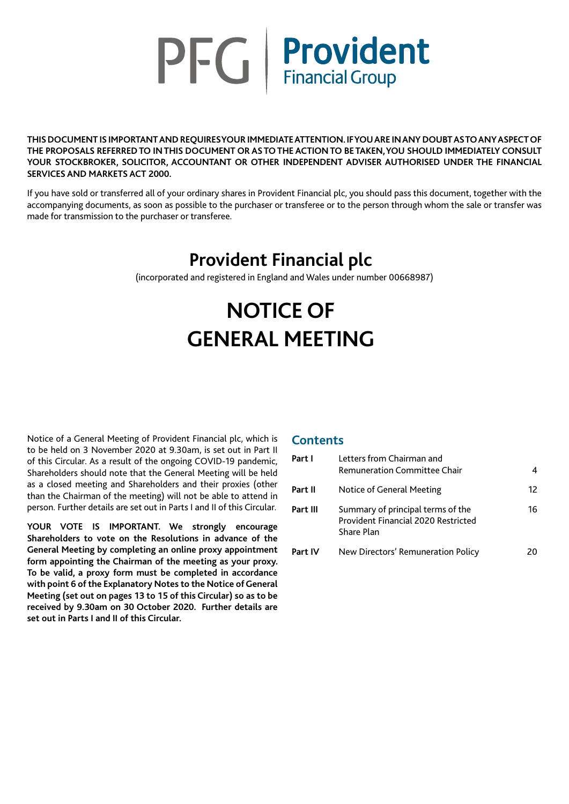

**THIS DOCUMENT IS IMPORTANT AND REQUIRES YOUR IMMEDIATE ATTENTION. IF YOU ARE IN ANY DOUBT AS TO ANY ASPECT OF THE PROPOSALS REFERRED TO IN THIS DOCUMENT OR AS TO THE ACTION TO BE TAKEN, YOU SHOULD IMMEDIATELY CONSULT YOUR STOCKBROKER, SOLICITOR, ACCOUNTANT OR OTHER INDEPENDENT ADVISER AUTHORISED UNDER THE FINANCIAL SERVICES AND MARKETS ACT 2000.**

If you have sold or transferred all of your ordinary shares in Provident Financial plc, you should pass this document, together with the accompanying documents, as soon as possible to the purchaser or transferee or to the person through whom the sale or transfer was made for transmission to the purchaser or transferee.

## **Provident Financial plc**

(incorporated and registered in England and Wales under number 00668987)

# **NOTICE OF GENERAL MEETING**

Notice of a General Meeting of Provident Financial plc, which is to be held on 3 November 2020 at 9.30am, is set out in Part II of this Circular. As a result of the ongoing COVID-19 pandemic, Shareholders should note that the General Meeting will be held as a closed meeting and Shareholders and their proxies (other than the Chairman of the meeting) will not be able to attend in person. Further details are set out in Parts I and II of this Circular.

**YOUR VOTE IS IMPORTANT. We strongly encourage Shareholders to vote on the Resolutions in advance of the General Meeting by completing an online proxy appointment form appointing the Chairman of the meeting as your proxy. To be valid, a proxy form must be completed in accordance with point 6 of the Explanatory Notes to the Notice of General Meeting (set out on pages 13 to 15 of this Circular) so as to be received by 9.30am on 30 October 2020. Further details are set out in Parts I and II of this Circular.**

## **Contents**

| Part I   | Letters from Chairman and<br><b>Remuneration Committee Chair</b>                       | 4  |
|----------|----------------------------------------------------------------------------------------|----|
| Part II  | Notice of General Meeting                                                              | 12 |
| Part III | Summary of principal terms of the<br>Provident Financial 2020 Restricted<br>Share Plan | 16 |
| Part IV  | New Directors' Remuneration Policy                                                     | 20 |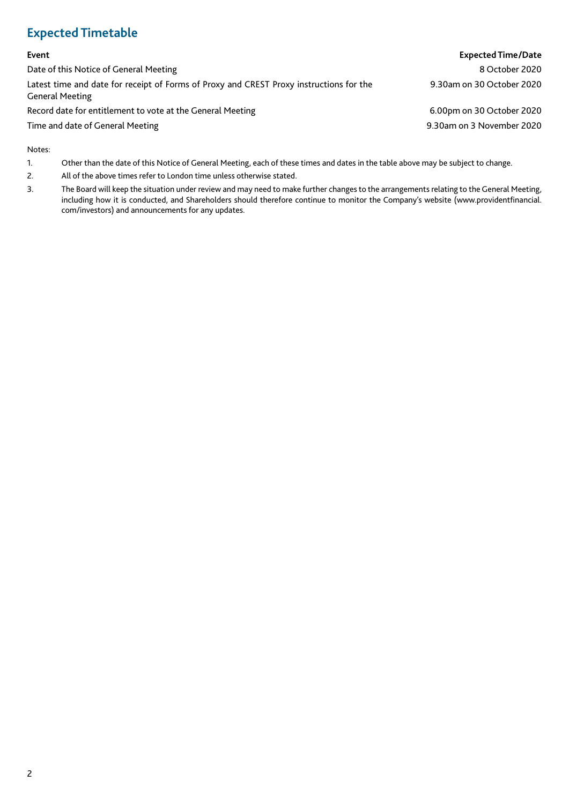## **Expected Timetable**

## **Event Expected Time/Date** Date of this Notice of General Meeting 8 October 2020 Latest time and date for receipt of Forms of Proxy and CREST Proxy instructions for the General Meeting 9.30am on 30 October 2020 Record date for entitlement to vote at the General Meeting 6.00pm on 30 October 2020 Time and date of General Meeting 9.30am on 3 November 2020

Notes:

- 1. Other than the date of this Notice of General Meeting, each of these times and dates in the table above may be subject to change.
- 2. All of the above times refer to London time unless otherwise stated.
- 3. The Board will keep the situation under review and may need to make further changes to the arrangements relating to the General Meeting, including how it is conducted, and Shareholders should therefore continue to monitor the Company's website (www.providentfinancial. com/investors) and announcements for any updates.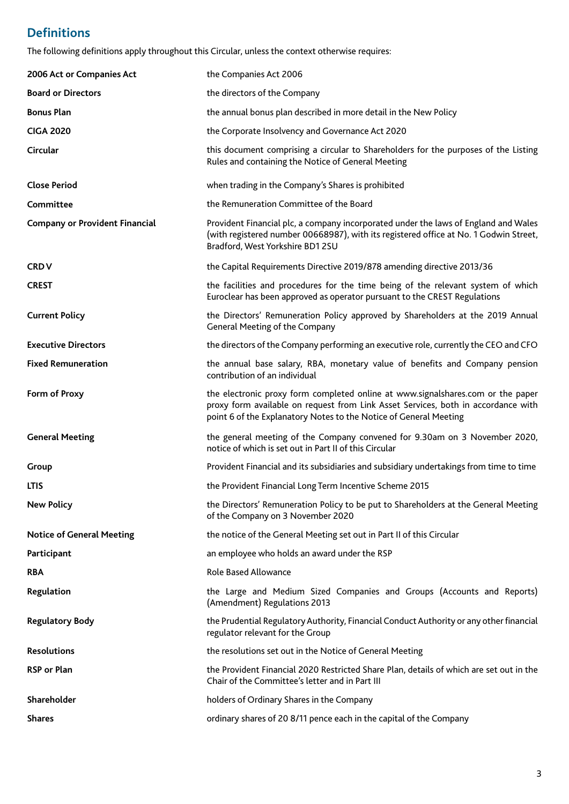## **Definitions**

The following definitions apply throughout this Circular, unless the context otherwise requires:

| 2006 Act or Companies Act             | the Companies Act 2006                                                                                                                                                                                                                    |
|---------------------------------------|-------------------------------------------------------------------------------------------------------------------------------------------------------------------------------------------------------------------------------------------|
| <b>Board or Directors</b>             | the directors of the Company                                                                                                                                                                                                              |
| <b>Bonus Plan</b>                     | the annual bonus plan described in more detail in the New Policy                                                                                                                                                                          |
| <b>CIGA 2020</b>                      | the Corporate Insolvency and Governance Act 2020                                                                                                                                                                                          |
| Circular                              | this document comprising a circular to Shareholders for the purposes of the Listing<br>Rules and containing the Notice of General Meeting                                                                                                 |
| <b>Close Period</b>                   | when trading in the Company's Shares is prohibited                                                                                                                                                                                        |
| Committee                             | the Remuneration Committee of the Board                                                                                                                                                                                                   |
| <b>Company or Provident Financial</b> | Provident Financial plc, a company incorporated under the laws of England and Wales<br>(with registered number 00668987), with its registered office at No. 1 Godwin Street,<br>Bradford, West Yorkshire BD1 2SU                          |
| <b>CRDV</b>                           | the Capital Requirements Directive 2019/878 amending directive 2013/36                                                                                                                                                                    |
| <b>CREST</b>                          | the facilities and procedures for the time being of the relevant system of which<br>Euroclear has been approved as operator pursuant to the CREST Regulations                                                                             |
| <b>Current Policy</b>                 | the Directors' Remuneration Policy approved by Shareholders at the 2019 Annual<br>General Meeting of the Company                                                                                                                          |
| <b>Executive Directors</b>            | the directors of the Company performing an executive role, currently the CEO and CFO                                                                                                                                                      |
| <b>Fixed Remuneration</b>             | the annual base salary, RBA, monetary value of benefits and Company pension<br>contribution of an individual                                                                                                                              |
| Form of Proxy                         | the electronic proxy form completed online at www.signalshares.com or the paper<br>proxy form available on request from Link Asset Services, both in accordance with<br>point 6 of the Explanatory Notes to the Notice of General Meeting |
| <b>General Meeting</b>                | the general meeting of the Company convened for 9.30am on 3 November 2020,<br>notice of which is set out in Part II of this Circular                                                                                                      |
| Group                                 | Provident Financial and its subsidiaries and subsidiary undertakings from time to time                                                                                                                                                    |
| <b>LTIS</b>                           | the Provident Financial Long Term Incentive Scheme 2015                                                                                                                                                                                   |
| <b>New Policy</b>                     | the Directors' Remuneration Policy to be put to Shareholders at the General Meeting<br>of the Company on 3 November 2020                                                                                                                  |
| <b>Notice of General Meeting</b>      | the notice of the General Meeting set out in Part II of this Circular                                                                                                                                                                     |
| Participant                           | an employee who holds an award under the RSP                                                                                                                                                                                              |
| <b>RBA</b>                            | <b>Role Based Allowance</b>                                                                                                                                                                                                               |
| Regulation                            | the Large and Medium Sized Companies and Groups (Accounts and Reports)<br>(Amendment) Regulations 2013                                                                                                                                    |
| <b>Regulatory Body</b>                | the Prudential Regulatory Authority, Financial Conduct Authority or any other financial<br>regulator relevant for the Group                                                                                                               |
| <b>Resolutions</b>                    | the resolutions set out in the Notice of General Meeting                                                                                                                                                                                  |
| <b>RSP or Plan</b>                    | the Provident Financial 2020 Restricted Share Plan, details of which are set out in the<br>Chair of the Committee's letter and in Part III                                                                                                |
| Shareholder                           | holders of Ordinary Shares in the Company                                                                                                                                                                                                 |
| <b>Shares</b>                         | ordinary shares of 20 8/11 pence each in the capital of the Company                                                                                                                                                                       |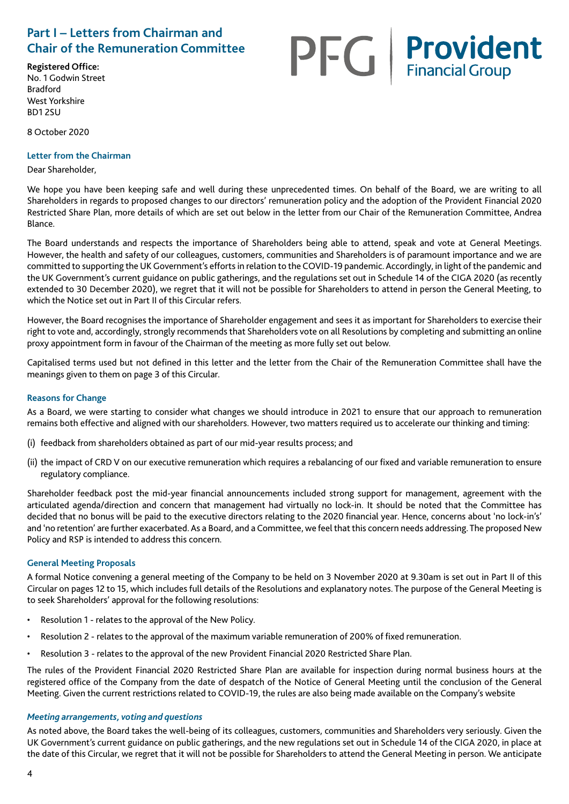## **Part I – Letters from Chairman and Chair of the Remuneration Committee**

#### **Registered Office:**

No. 1 Godwin Street Bradford West Yorkshire BD1 2SU

8 October 2020

## **Letter from the Chairman**

## Dear Shareholder,

**PFG** Provident

We hope you have been keeping safe and well during these unprecedented times. On behalf of the Board, we are writing to all Shareholders in regards to proposed changes to our directors' remuneration policy and the adoption of the Provident Financial 2020 Restricted Share Plan, more details of which are set out below in the letter from our Chair of the Remuneration Committee, Andrea Blance.

The Board understands and respects the importance of Shareholders being able to attend, speak and vote at General Meetings. However, the health and safety of our colleagues, customers, communities and Shareholders is of paramount importance and we are committed to supporting the UK Government's efforts in relation to the COVID-19 pandemic. Accordingly, in light of the pandemic and the UK Government's current guidance on public gatherings, and the regulations set out in Schedule 14 of the CIGA 2020 (as recently extended to 30 December 2020), we regret that it will not be possible for Shareholders to attend in person the General Meeting, to which the Notice set out in Part II of this Circular refers.

However, the Board recognises the importance of Shareholder engagement and sees it as important for Shareholders to exercise their right to vote and, accordingly, strongly recommends that Shareholders vote on all Resolutions by completing and submitting an online proxy appointment form in favour of the Chairman of the meeting as more fully set out below.

Capitalised terms used but not defined in this letter and the letter from the Chair of the Remuneration Committee shall have the meanings given to them on page 3 of this Circular.

## **Reasons for Change**

As a Board, we were starting to consider what changes we should introduce in 2021 to ensure that our approach to remuneration remains both effective and aligned with our shareholders. However, two matters required us to accelerate our thinking and timing:

- (i) feedback from shareholders obtained as part of our mid-year results process; and
- (ii) the impact of CRD V on our executive remuneration which requires a rebalancing of our fixed and variable remuneration to ensure regulatory compliance.

Shareholder feedback post the mid-year financial announcements included strong support for management, agreement with the articulated agenda/direction and concern that management had virtually no lock-in. It should be noted that the Committee has decided that no bonus will be paid to the executive directors relating to the 2020 financial year. Hence, concerns about 'no lock-in's' and 'no retention' are further exacerbated. As a Board, and a Committee, we feel that this concern needs addressing. The proposed New Policy and RSP is intended to address this concern.

## **General Meeting Proposals**

A formal Notice convening a general meeting of the Company to be held on 3 November 2020 at 9.30am is set out in Part II of this Circular on pages 12 to 15, which includes full details of the Resolutions and explanatory notes. The purpose of the General Meeting is to seek Shareholders' approval for the following resolutions:

- Resolution 1 relates to the approval of the New Policy.
- Resolution 2 relates to the approval of the maximum variable remuneration of 200% of fixed remuneration.
- Resolution 3 relates to the approval of the new Provident Financial 2020 Restricted Share Plan.

The rules of the Provident Financial 2020 Restricted Share Plan are available for inspection during normal business hours at the registered office of the Company from the date of despatch of the Notice of General Meeting until the conclusion of the General Meeting. Given the current restrictions related to COVID-19, the rules are also being made available on the Company's website

## *Meeting arrangements, voting and questions*

As noted above, the Board takes the well-being of its colleagues, customers, communities and Shareholders very seriously. Given the UK Government's current guidance on public gatherings, and the new regulations set out in Schedule 14 of the CIGA 2020, in place at the date of this Circular, we regret that it will not be possible for Shareholders to attend the General Meeting in person. We anticipate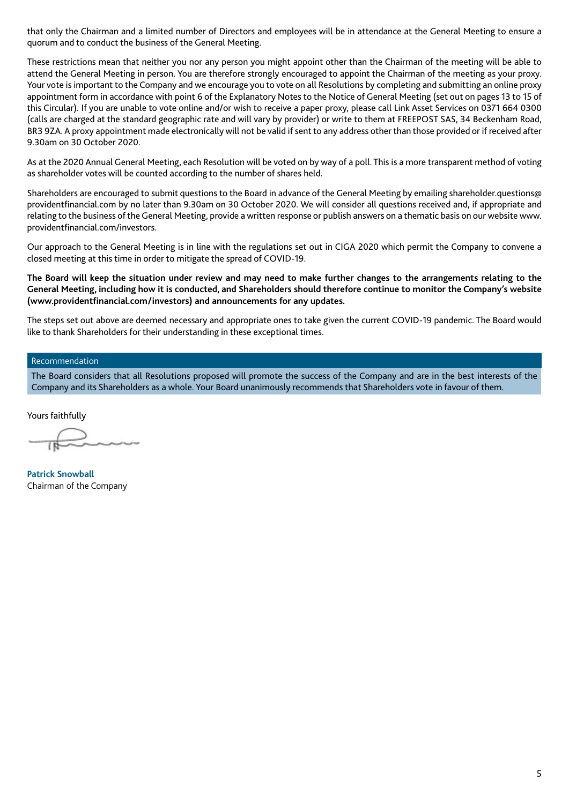that only the Chairman and a limited number of Directors and employees will be in attendance at the General Meeting to ensure a quorum and to conduct the business of the General Meeting.

These restrictions mean that neither you nor any person you might appoint other than the Chairman of the meeting will be able to attend the General Meeting in person. You are therefore strongly encouraged to appoint the Chairman of the meeting as your proxy. Your vote is important to the Company and we encourage you to vote on all Resolutions by completing and submitting an online proxy appointment form in accordance with point 6 of the Explanatory Notes to the Notice of General Meeting (set out on pages 13 to 15 of this Circular). If you are unable to vote online and/or wish to receive a paper proxy, please call Link Asset Services on 0371 664 0300 (calls are charged at the standard geographic rate and will vary by provider) or write to them at FREEPOST SAS, 34 Beckenham Road, BR3 9ZA. A proxy appointment made electronically will not be valid if sent to any address other than those provided or if received after 9.30am on 30 October 2020.

As at the 2020 Annual General Meeting, each Resolution will be voted on by way of a poll. This is a more transparent method of voting as shareholder votes will be counted according to the number of shares held.

Shareholders are encouraged to submit questions to the Board in advance of the General Meeting by emailing shareholder.questions@ providentfinancial.com by no later than 9.30am on 30 October 2020. We will consider all questions received and, if appropriate and relating to the business of the General Meeting, provide a written response or publish answers on a thematic basis on our website www. providentfinancial.com/investors.

Our approach to the General Meeting is in line with the regulations set out in CIGA 2020 which permit the Company to convene a closed meeting at this time in order to mitigate the spread of COVID-19.

**The Board will keep the situation under review and may need to make further changes to the arrangements relating to the General Meeting, including how it is conducted, and Shareholders should therefore continue to monitor the Company's website (www.providentfinancial.com/investors) and announcements for any updates.**

The steps set out above are deemed necessary and appropriate ones to take given the current COVID-19 pandemic. The Board would like to thank Shareholders for their understanding in these exceptional times.

## Recommendation

The Board considers that all Resolutions proposed will promote the success of the Company and are in the best interests of the Company and its Shareholders as a whole. Your Board unanimously recommends that Shareholders vote in favour of them.

Yours faithfully

**Patrick Snowball** Chairman of the Company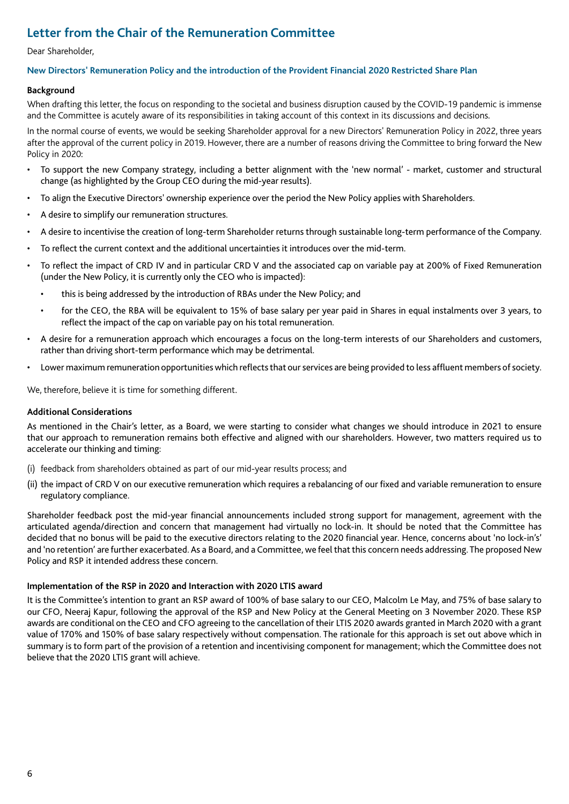## **Letter from the Chair of the Remuneration Committee**

#### Dear Shareholder,

## **New Directors' Remuneration Policy and the introduction of the Provident Financial 2020 Restricted Share Plan**

## **Background**

When drafting this letter, the focus on responding to the societal and business disruption caused by the COVID-19 pandemic is immense and the Committee is acutely aware of its responsibilities in taking account of this context in its discussions and decisions.

In the normal course of events, we would be seeking Shareholder approval for a new Directors' Remuneration Policy in 2022, three years after the approval of the current policy in 2019. However, there are a number of reasons driving the Committee to bring forward the New Policy in 2020:

- To support the new Company strategy, including a better alignment with the 'new normal' market, customer and structural change (as highlighted by the Group CEO during the mid-year results).
- To align the Executive Directors' ownership experience over the period the New Policy applies with Shareholders.
- A desire to simplify our remuneration structures.
- A desire to incentivise the creation of long-term Shareholder returns through sustainable long-term performance of the Company.
- To reflect the current context and the additional uncertainties it introduces over the mid-term.
- To reflect the impact of CRD IV and in particular CRD V and the associated cap on variable pay at 200% of Fixed Remuneration (under the New Policy, it is currently only the CEO who is impacted):
	- this is being addressed by the introduction of RBAs under the New Policy; and
	- for the CEO, the RBA will be equivalent to 15% of base salary per year paid in Shares in equal instalments over 3 years, to reflect the impact of the cap on variable pay on his total remuneration.
- A desire for a remuneration approach which encourages a focus on the long-term interests of our Shareholders and customers, rather than driving short-term performance which may be detrimental.
- Lower maximum remuneration opportunities which reflects that our services are being provided to less affluent members of society.

We, therefore, believe it is time for something different.

## **Additional Considerations**

As mentioned in the Chair's letter, as a Board, we were starting to consider what changes we should introduce in 2021 to ensure that our approach to remuneration remains both effective and aligned with our shareholders. However, two matters required us to accelerate our thinking and timing:

- (i) feedback from shareholders obtained as part of our mid-year results process; and
- (ii) the impact of CRD V on our executive remuneration which requires a rebalancing of our fixed and variable remuneration to ensure regulatory compliance.

Shareholder feedback post the mid-year financial announcements included strong support for management, agreement with the articulated agenda/direction and concern that management had virtually no lock-in. It should be noted that the Committee has decided that no bonus will be paid to the executive directors relating to the 2020 financial year. Hence, concerns about 'no lock-in's' and 'no retention' are further exacerbated. As a Board, and a Committee, we feel that this concern needs addressing. The proposed New Policy and RSP it intended address these concern.

## **Implementation of the RSP in 2020 and Interaction with 2020 LTIS award**

It is the Committee's intention to grant an RSP award of 100% of base salary to our CEO, Malcolm Le May, and 75% of base salary to our CFO, Neeraj Kapur, following the approval of the RSP and New Policy at the General Meeting on 3 November 2020. These RSP awards are conditional on the CEO and CFO agreeing to the cancellation of their LTIS 2020 awards granted in March 2020 with a grant value of 170% and 150% of base salary respectively without compensation. The rationale for this approach is set out above which in summary is to form part of the provision of a retention and incentivising component for management; which the Committee does not believe that the 2020 LTIS grant will achieve.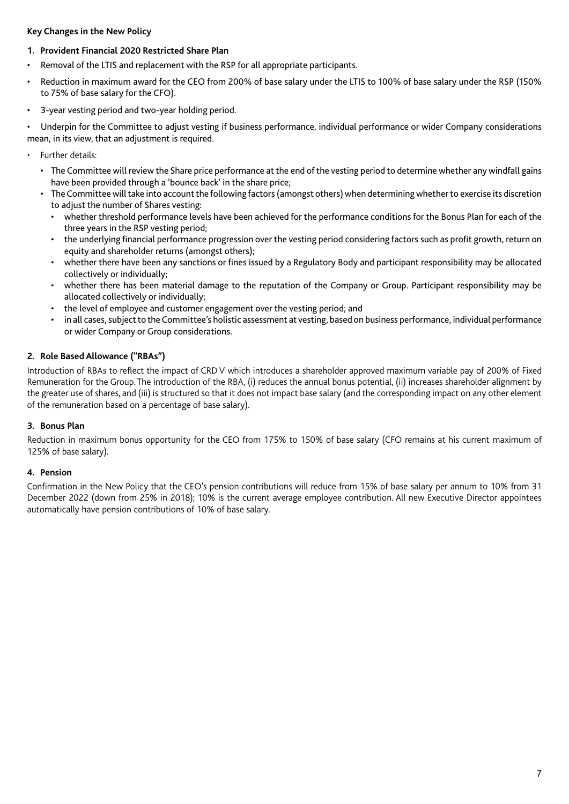## **Key Changes in the New Policy**

## **1. Provident Financial 2020 Restricted Share Plan**

- Removal of the LTIS and replacement with the RSP for all appropriate participants.
- Reduction in maximum award for the CEO from 200% of base salary under the LTIS to 100% of base salary under the RSP (150% to 75% of base salary for the CFO).
- 3-year vesting period and two-year holding period.

• Underpin for the Committee to adjust vesting if business performance, individual performance or wider Company considerations mean, in its view, that an adjustment is required.

- Further details:
	- The Committee will review the Share price performance at the end of the vesting period to determine whether any windfall gains have been provided through a 'bounce back' in the share price;
	- The Committee will take into account the following factors (amongst others) when determining whether to exercise its discretion to adjust the number of Shares vesting:
		- whether threshold performance levels have been achieved for the performance conditions for the Bonus Plan for each of the three years in the RSP vesting period;
		- the underlying financial performance progression over the vesting period considering factors such as profit growth, return on equity and shareholder returns (amongst others);
		- whether there have been any sanctions or fines issued by a Regulatory Body and participant responsibility may be allocated collectively or individually;
		- whether there has been material damage to the reputation of the Company or Group. Participant responsibility may be allocated collectively or individually;
		- the level of employee and customer engagement over the vesting period; and
		- in all cases, subject to the Committee's holistic assessment at vesting, based on business performance, individual performance or wider Company or Group considerations.

## **2. Role Based Allowance ("RBAs")**

Introduction of RBAs to reflect the impact of CRD V which introduces a shareholder approved maximum variable pay of 200% of Fixed Remuneration for the Group. The introduction of the RBA, (i) reduces the annual bonus potential, (ii) increases shareholder alignment by the greater use of shares, and (iii) is structured so that it does not impact base salary (and the corresponding impact on any other element of the remuneration based on a percentage of base salary).

## **3. Bonus Plan**

Reduction in maximum bonus opportunity for the CEO from 175% to 150% of base salary (CFO remains at his current maximum of 125% of base salary).

## **4. Pension**

Confirmation in the New Policy that the CEO's pension contributions will reduce from 15% of base salary per annum to 10% from 31 December 2022 (down from 25% in 2018); 10% is the current average employee contribution. All new Executive Director appointees automatically have pension contributions of 10% of base salary.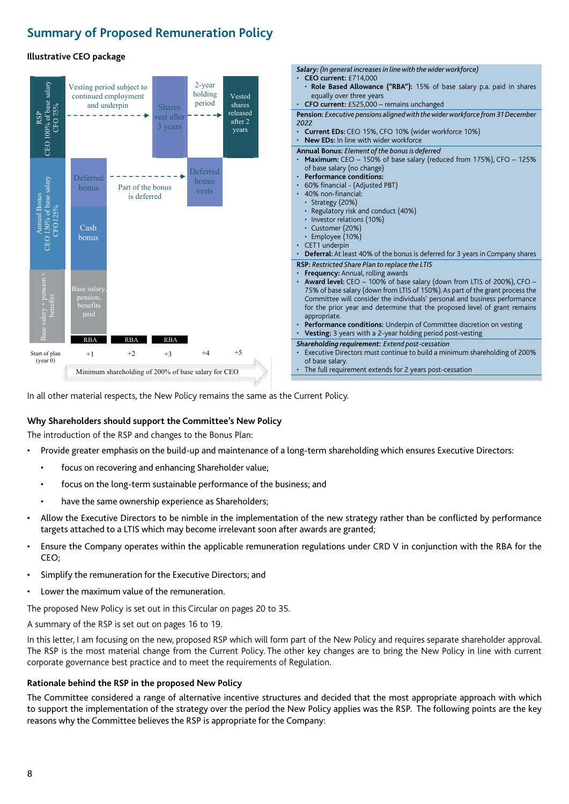## **Summary of Proposed Remuneration Policy**

## **Illustrative CEO package**



In all other material respects, the New Policy remains the same as the Current Policy.

## **Why Shareholders should support the Committee's New Policy**

The introduction of the RSP and changes to the Bonus Plan:

- Provide greater emphasis on the build-up and maintenance of a long-term shareholding which ensures Executive Directors:
	- focus on recovering and enhancing Shareholder value;
	- focus on the long-term sustainable performance of the business; and
	- have the same ownership experience as Shareholders;
- Allow the Executive Directors to be nimble in the implementation of the new strategy rather than be conflicted by performance targets attached to a LTIS which may become irrelevant soon after awards are granted;
- Ensure the Company operates within the applicable remuneration regulations under CRD V in conjunction with the RBA for the CEO;
- Simplify the remuneration for the Executive Directors; and
- Lower the maximum value of the remuneration.

The proposed New Policy is set out in this Circular on pages 20 to 35.

A summary of the RSP is set out on pages 16 to 19.

In this letter, I am focusing on the new, proposed RSP which will form part of the New Policy and requires separate shareholder approval. The RSP is the most material change from the Current Policy. The other key changes are to bring the New Policy in line with current corporate governance best practice and to meet the requirements of Regulation.

## **Rationale behind the RSP in the proposed New Policy**

The Committee considered a range of alternative incentive structures and decided that the most appropriate approach with which to support the implementation of the strategy over the period the New Policy applies was the RSP. The following points are the key reasons why the Committee believes the RSP is appropriate for the Company: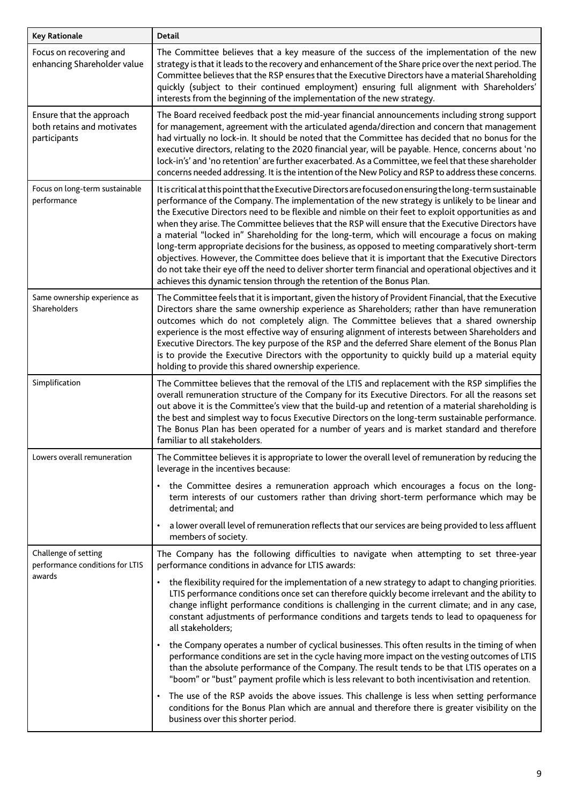| <b>Key Rationale</b>                                                   | <b>Detail</b>                                                                                                                                                                                                                                                                                                                                                                                                                                                                                                                                                                                                                                                                                                                                                                                                                                                                                                              |
|------------------------------------------------------------------------|----------------------------------------------------------------------------------------------------------------------------------------------------------------------------------------------------------------------------------------------------------------------------------------------------------------------------------------------------------------------------------------------------------------------------------------------------------------------------------------------------------------------------------------------------------------------------------------------------------------------------------------------------------------------------------------------------------------------------------------------------------------------------------------------------------------------------------------------------------------------------------------------------------------------------|
| Focus on recovering and<br>enhancing Shareholder value                 | The Committee believes that a key measure of the success of the implementation of the new<br>strategy is that it leads to the recovery and enhancement of the Share price over the next period. The<br>Committee believes that the RSP ensures that the Executive Directors have a material Shareholding<br>quickly (subject to their continued employment) ensuring full alignment with Shareholders'<br>interests from the beginning of the implementation of the new strategy.                                                                                                                                                                                                                                                                                                                                                                                                                                          |
| Ensure that the approach<br>both retains and motivates<br>participants | The Board received feedback post the mid-year financial announcements including strong support<br>for management, agreement with the articulated agenda/direction and concern that management<br>had virtually no lock-in. It should be noted that the Committee has decided that no bonus for the<br>executive directors, relating to the 2020 financial year, will be payable. Hence, concerns about 'no<br>lock-in's' and 'no retention' are further exacerbated. As a Committee, we feel that these shareholder<br>concerns needed addressing. It is the intention of the New Policy and RSP to address these concerns.                                                                                                                                                                                                                                                                                                |
| Focus on long-term sustainable<br>performance                          | It is critical at this point that the Executive Directors are focused on ensuring the long-term sustainable<br>performance of the Company. The implementation of the new strategy is unlikely to be linear and<br>the Executive Directors need to be flexible and nimble on their feet to exploit opportunities as and<br>when they arise. The Committee believes that the RSP will ensure that the Executive Directors have<br>a material "locked in" Shareholding for the long-term, which will encourage a focus on making<br>long-term appropriate decisions for the business, as opposed to meeting comparatively short-term<br>objectives. However, the Committee does believe that it is important that the Executive Directors<br>do not take their eye off the need to deliver shorter term financial and operational objectives and it<br>achieves this dynamic tension through the retention of the Bonus Plan. |
| Same ownership experience as<br>Shareholders                           | The Committee feels that it is important, given the history of Provident Financial, that the Executive<br>Directors share the same ownership experience as Shareholders; rather than have remuneration<br>outcomes which do not completely align. The Committee believes that a shared ownership<br>experience is the most effective way of ensuring alignment of interests between Shareholders and<br>Executive Directors. The key purpose of the RSP and the deferred Share element of the Bonus Plan<br>is to provide the Executive Directors with the opportunity to quickly build up a material equity<br>holding to provide this shared ownership experience.                                                                                                                                                                                                                                                       |
| Simplification                                                         | The Committee believes that the removal of the LTIS and replacement with the RSP simplifies the<br>overall remuneration structure of the Company for its Executive Directors. For all the reasons set<br>out above it is the Committee's view that the build-up and retention of a material shareholding is<br>the best and simplest way to focus Executive Directors on the long-term sustainable performance.<br>The Bonus Plan has been operated for a number of years and is market standard and therefore<br>familiar to all stakeholders.                                                                                                                                                                                                                                                                                                                                                                            |
| Lowers overall remuneration                                            | The Committee believes it is appropriate to lower the overall level of remuneration by reducing the<br>leverage in the incentives because:                                                                                                                                                                                                                                                                                                                                                                                                                                                                                                                                                                                                                                                                                                                                                                                 |
|                                                                        | the Committee desires a remuneration approach which encourages a focus on the long-<br>٠<br>term interests of our customers rather than driving short-term performance which may be<br>detrimental; and                                                                                                                                                                                                                                                                                                                                                                                                                                                                                                                                                                                                                                                                                                                    |
|                                                                        | a lower overall level of remuneration reflects that our services are being provided to less affluent<br>members of society.                                                                                                                                                                                                                                                                                                                                                                                                                                                                                                                                                                                                                                                                                                                                                                                                |
| Challenge of setting<br>performance conditions for LTIS                | The Company has the following difficulties to navigate when attempting to set three-year<br>performance conditions in advance for LTIS awards:                                                                                                                                                                                                                                                                                                                                                                                                                                                                                                                                                                                                                                                                                                                                                                             |
| awards                                                                 | the flexibility required for the implementation of a new strategy to adapt to changing priorities.<br>$\bullet$<br>LTIS performance conditions once set can therefore quickly become irrelevant and the ability to<br>change inflight performance conditions is challenging in the current climate; and in any case,<br>constant adjustments of performance conditions and targets tends to lead to opaqueness for<br>all stakeholders;                                                                                                                                                                                                                                                                                                                                                                                                                                                                                    |
|                                                                        | the Company operates a number of cyclical businesses. This often results in the timing of when<br>performance conditions are set in the cycle having more impact on the vesting outcomes of LTIS<br>than the absolute performance of the Company. The result tends to be that LTIS operates on a<br>"boom" or "bust" payment profile which is less relevant to both incentivisation and retention.                                                                                                                                                                                                                                                                                                                                                                                                                                                                                                                         |
|                                                                        | The use of the RSP avoids the above issues. This challenge is less when setting performance<br>conditions for the Bonus Plan which are annual and therefore there is greater visibility on the<br>business over this shorter period.                                                                                                                                                                                                                                                                                                                                                                                                                                                                                                                                                                                                                                                                                       |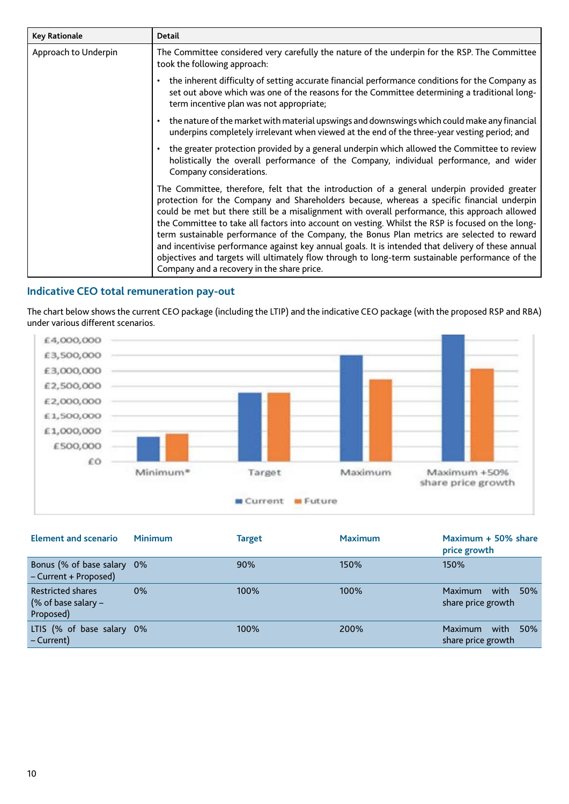| <b>Key Rationale</b> | <b>Detail</b>                                                                                                                                                                                                                                                                                                                                                                                                                                                                                                                                                                                                                                                                                                                                         |
|----------------------|-------------------------------------------------------------------------------------------------------------------------------------------------------------------------------------------------------------------------------------------------------------------------------------------------------------------------------------------------------------------------------------------------------------------------------------------------------------------------------------------------------------------------------------------------------------------------------------------------------------------------------------------------------------------------------------------------------------------------------------------------------|
| Approach to Underpin | The Committee considered very carefully the nature of the underpin for the RSP. The Committee<br>took the following approach:                                                                                                                                                                                                                                                                                                                                                                                                                                                                                                                                                                                                                         |
|                      | the inherent difficulty of setting accurate financial performance conditions for the Company as<br>$\bullet$<br>set out above which was one of the reasons for the Committee determining a traditional long-<br>term incentive plan was not appropriate;                                                                                                                                                                                                                                                                                                                                                                                                                                                                                              |
|                      | the nature of the market with material upswings and downswings which could make any financial<br>underpins completely irrelevant when viewed at the end of the three-year vesting period; and                                                                                                                                                                                                                                                                                                                                                                                                                                                                                                                                                         |
|                      | the greater protection provided by a general underpin which allowed the Committee to review<br>holistically the overall performance of the Company, individual performance, and wider<br>Company considerations.                                                                                                                                                                                                                                                                                                                                                                                                                                                                                                                                      |
|                      | The Committee, therefore, felt that the introduction of a general underpin provided greater<br>protection for the Company and Shareholders because, whereas a specific financial underpin<br>could be met but there still be a misalignment with overall performance, this approach allowed<br>the Committee to take all factors into account on vesting. Whilst the RSP is focused on the long-<br>term sustainable performance of the Company, the Bonus Plan metrics are selected to reward<br>and incentivise performance against key annual goals. It is intended that delivery of these annual<br>objectives and targets will ultimately flow through to long-term sustainable performance of the<br>Company and a recovery in the share price. |

## **Indicative CEO total remuneration pay-out**

The chart below shows the current CEO package (including the LTIP) and the indicative CEO package (with the proposed RSP and RBA) under various different scenarios.



| <b>Element and scenario</b>                                    | <b>Minimum</b> | Target | <b>Maximum</b> | Maximum + 50% share<br>price growth                 |
|----------------------------------------------------------------|----------------|--------|----------------|-----------------------------------------------------|
| Bonus (% of base salary 0%<br>- Current + Proposed)            |                | 90%    | 150%           | 150%                                                |
| <b>Restricted shares</b><br>(% of base salary $-$<br>Proposed) | $0\%$          | 100%   | 100%           | <b>Maximum</b><br>with<br>50%<br>share price growth |
| LTIS (% of base salary 0%<br>– Current)                        |                | 100%   | 200%           | Maximum<br>with<br>50%<br>share price growth        |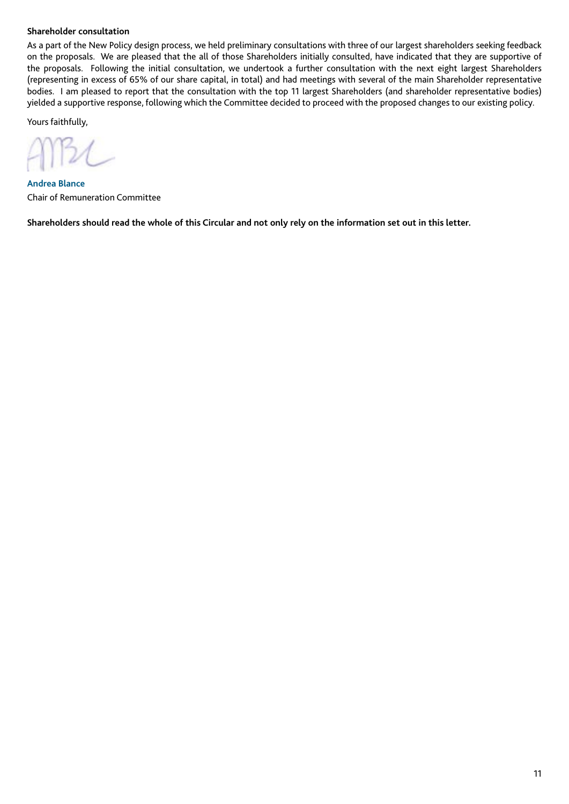## **Shareholder consultation**

As a part of the New Policy design process, we held preliminary consultations with three of our largest shareholders seeking feedback on the proposals. We are pleased that the all of those Shareholders initially consulted, have indicated that they are supportive of the proposals. Following the initial consultation, we undertook a further consultation with the next eight largest Shareholders (representing in excess of 65% of our share capital, in total) and had meetings with several of the main Shareholder representative bodies. I am pleased to report that the consultation with the top 11 largest Shareholders (and shareholder representative bodies) yielded a supportive response, following which the Committee decided to proceed with the proposed changes to our existing policy.

Yours faithfully,

**Andrea Blance** Chair of Remuneration Committee

**Shareholders should read the whole of this Circular and not only rely on the information set out in this letter.**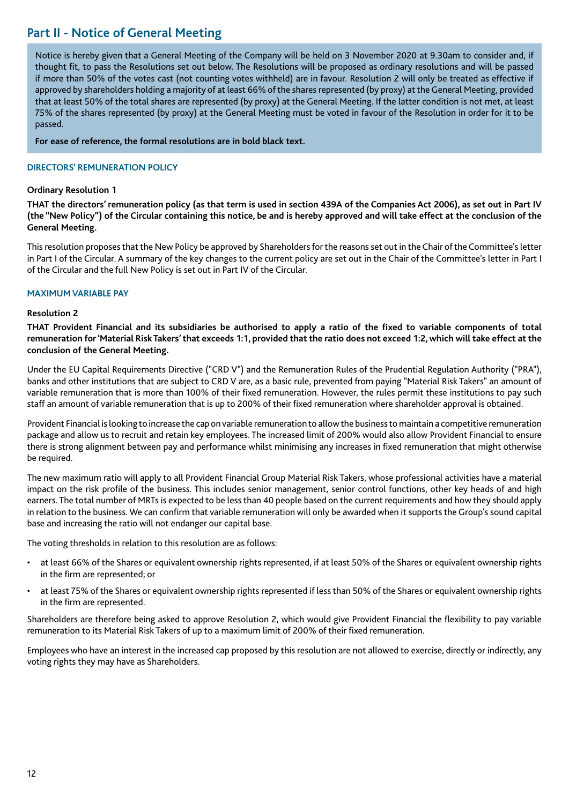## **Part II - Notice of General Meeting**

Notice is hereby given that a General Meeting of the Company will be held on 3 November 2020 at 9.30am to consider and, if thought fit, to pass the Resolutions set out below. The Resolutions will be proposed as ordinary resolutions and will be passed if more than 50% of the votes cast (not counting votes withheld) are in favour. Resolution 2 will only be treated as effective if approved by shareholders holding a majority of at least 66% of the shares represented (by proxy) at the General Meeting, provided that at least 50% of the total shares are represented (by proxy) at the General Meeting. If the latter condition is not met, at least 75% of the shares represented (by proxy) at the General Meeting must be voted in favour of the Resolution in order for it to be passed.

**For ease of reference, the formal resolutions are in bold black text.**

## **DIRECTORS' REMUNERATION POLICY**

## **Ordinary Resolution 1**

**THAT the directors' remuneration policy (as that term is used in section 439A of the Companies Act 2006), as set out in Part IV (the "New Policy") of the Circular containing this notice, be and is hereby approved and will take effect at the conclusion of the General Meeting.**

This resolution proposes that the New Policy be approved by Shareholders for the reasons set out in the Chair of the Committee's letter in Part I of the Circular. A summary of the key changes to the current policy are set out in the Chair of the Committee's letter in Part I of the Circular and the full New Policy is set out in Part IV of the Circular.

## **MAXIMUM VARIABLE PAY**

## **Resolution 2**

**THAT Provident Financial and its subsidiaries be authorised to apply a ratio of the fixed to variable components of total remuneration for 'Material Risk Takers' that exceeds 1:1, provided that the ratio does not exceed 1:2, which will take effect at the conclusion of the General Meeting.**

Under the EU Capital Requirements Directive ("CRD V") and the Remuneration Rules of the Prudential Regulation Authority ("PRA"), banks and other institutions that are subject to CRD V are, as a basic rule, prevented from paying "Material Risk Takers" an amount of variable remuneration that is more than 100% of their fixed remuneration. However, the rules permit these institutions to pay such staff an amount of variable remuneration that is up to 200% of their fixed remuneration where shareholder approval is obtained.

Provident Financial is looking to increase the cap on variable remuneration to allow the business to maintain a competitive remuneration package and allow us to recruit and retain key employees. The increased limit of 200% would also allow Provident Financial to ensure there is strong alignment between pay and performance whilst minimising any increases in fixed remuneration that might otherwise be required.

The new maximum ratio will apply to all Provident Financial Group Material Risk Takers, whose professional activities have a material impact on the risk profile of the business. This includes senior management, senior control functions, other key heads of and high earners. The total number of MRTs is expected to be less than 40 people based on the current requirements and how they should apply in relation to the business. We can confirm that variable remuneration will only be awarded when it supports the Group's sound capital base and increasing the ratio will not endanger our capital base.

The voting thresholds in relation to this resolution are as follows:

- at least 66% of the Shares or equivalent ownership rights represented, if at least 50% of the Shares or equivalent ownership rights in the firm are represented; or
- at least 75% of the Shares or equivalent ownership rights represented if less than 50% of the Shares or equivalent ownership rights in the firm are represented.

Shareholders are therefore being asked to approve Resolution 2, which would give Provident Financial the flexibility to pay variable remuneration to its Material Risk Takers of up to a maximum limit of 200% of their fixed remuneration.

Employees who have an interest in the increased cap proposed by this resolution are not allowed to exercise, directly or indirectly, any voting rights they may have as Shareholders.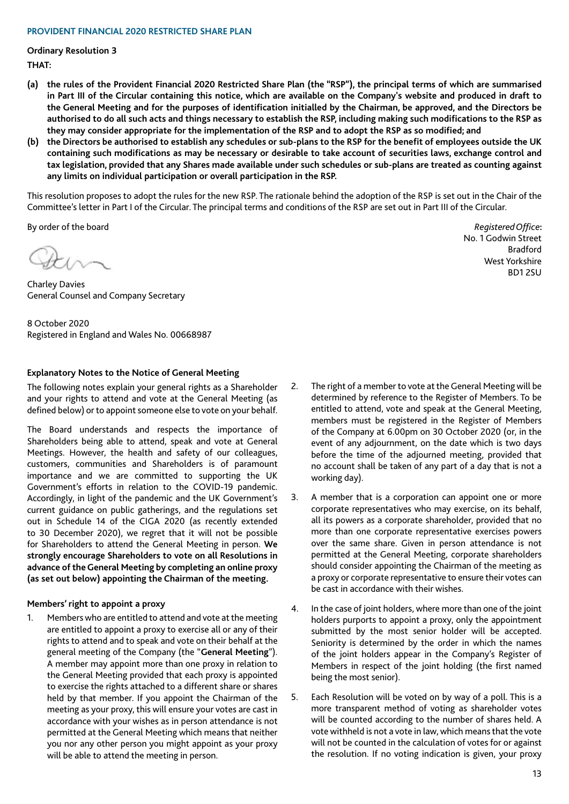#### **PROVIDENT FINANCIAL 2020 RESTRICTED SHARE PLAN**

**Ordinary Resolution 3 THAT:**

- **(a) the rules of the Provident Financial 2020 Restricted Share Plan (the "RSP"), the principal terms of which are summarised in Part III of the Circular containing this notice, which are available on the Company's website and produced in draft to the General Meeting and for the purposes of identification initialled by the Chairman, be approved, and the Directors be authorised to do all such acts and things necessary to establish the RSP, including making such modifications to the RSP as they may consider appropriate for the implementation of the RSP and to adopt the RSP as so modified; and**
- **(b) the Directors be authorised to establish any schedules or sub-plans to the RSP for the benefit of employees outside the UK containing such modifications as may be necessary or desirable to take account of securities laws, exchange control and tax legislation, provided that any Shares made available under such schedules or sub-plans are treated as counting against any limits on individual participation or overall participation in the RSP.**

This resolution proposes to adopt the rules for the new RSP. The rationale behind the adoption of the RSP is set out in the Chair of the Committee's letter in Part I of the Circular. The principal terms and conditions of the RSP are set out in Part III of the Circular.

By order of the board **Registered Office**: *Registered Office*: *Registered Office***:** *Registered Office***:** *Registered Office***:** *Registered Office***:** *Registered Office***:** 

Charley Davies General Counsel and Company Secretary

8 October 2020 Registered in England and Wales No. 00668987

## **Explanatory Notes to the Notice of General Meeting**

The following notes explain your general rights as a Shareholder and your rights to attend and vote at the General Meeting (as defined below) or to appoint someone else to vote on your behalf.

The Board understands and respects the importance of Shareholders being able to attend, speak and vote at General Meetings. However, the health and safety of our colleagues, customers, communities and Shareholders is of paramount importance and we are committed to supporting the UK Government's efforts in relation to the COVID-19 pandemic. Accordingly, in light of the pandemic and the UK Government's current guidance on public gatherings, and the regulations set out in Schedule 14 of the CIGA 2020 (as recently extended to 30 December 2020), we regret that it will not be possible for Shareholders to attend the General Meeting in person. **We strongly encourage Shareholders to vote on all Resolutions in advance of the General Meeting by completing an online proxy (as set out below) appointing the Chairman of the meeting.** 

## **Members' right to appoint a proxy**

1. Members who are entitled to attend and vote at the meeting are entitled to appoint a proxy to exercise all or any of their rights to attend and to speak and vote on their behalf at the general meeting of the Company (the "**General Meeting**"). A member may appoint more than one proxy in relation to the General Meeting provided that each proxy is appointed to exercise the rights attached to a different share or shares held by that member. If you appoint the Chairman of the meeting as your proxy, this will ensure your votes are cast in accordance with your wishes as in person attendance is not permitted at the General Meeting which means that neither you nor any other person you might appoint as your proxy will be able to attend the meeting in person.

- 2. The right of a member to vote at the General Meeting will be determined by reference to the Register of Members. To be entitled to attend, vote and speak at the General Meeting, members must be registered in the Register of Members of the Company at 6.00pm on 30 October 2020 (or, in the event of any adjournment, on the date which is two days before the time of the adjourned meeting, provided that no account shall be taken of any part of a day that is not a working day).
- 3. A member that is a corporation can appoint one or more corporate representatives who may exercise, on its behalf, all its powers as a corporate shareholder, provided that no more than one corporate representative exercises powers over the same share. Given in person attendance is not permitted at the General Meeting, corporate shareholders should consider appointing the Chairman of the meeting as a proxy or corporate representative to ensure their votes can be cast in accordance with their wishes.
- 4. In the case of joint holders, where more than one of the joint holders purports to appoint a proxy, only the appointment submitted by the most senior holder will be accepted. Seniority is determined by the order in which the names of the joint holders appear in the Company's Register of Members in respect of the joint holding (the first named being the most senior).
- 5. Each Resolution will be voted on by way of a poll. This is a more transparent method of voting as shareholder votes will be counted according to the number of shares held. A vote withheld is not a vote in law, which means that the vote will not be counted in the calculation of votes for or against the resolution. If no voting indication is given, your proxy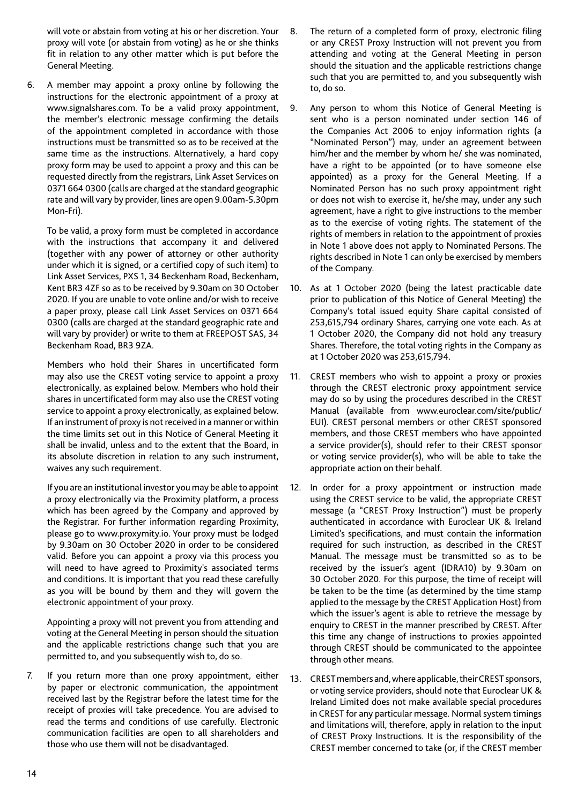will vote or abstain from voting at his or her discretion. Your proxy will vote (or abstain from voting) as he or she thinks fit in relation to any other matter which is put before the General Meeting.

6. A member may appoint a proxy online by following the instructions for the electronic appointment of a proxy at www.signalshares.com. To be a valid proxy appointment, the member's electronic message confirming the details of the appointment completed in accordance with those instructions must be transmitted so as to be received at the same time as the instructions. Alternatively, a hard copy proxy form may be used to appoint a proxy and this can be requested directly from the registrars, Link Asset Services on 0371 664 0300 (calls are charged at the standard geographic rate and will vary by provider, lines are open 9.00am-5.30pm Mon-Fri).

 To be valid, a proxy form must be completed in accordance with the instructions that accompany it and delivered (together with any power of attorney or other authority under which it is signed, or a certified copy of such item) to Link Asset Services, PXS 1, 34 Beckenham Road, Beckenham, Kent BR3 4ZF so as to be received by 9.30am on 30 October 2020. If you are unable to vote online and/or wish to receive a paper proxy, please call Link Asset Services on 0371 664 0300 (calls are charged at the standard geographic rate and will vary by provider) or write to them at FREEPOST SAS, 34 Beckenham Road, BR3 9ZA.

 Members who hold their Shares in uncertificated form may also use the CREST voting service to appoint a proxy electronically, as explained below. Members who hold their shares in uncertificated form may also use the CREST voting service to appoint a proxy electronically, as explained below. If an instrument of proxy is not received in a manner or within the time limits set out in this Notice of General Meeting it shall be invalid, unless and to the extent that the Board, in its absolute discretion in relation to any such instrument, waives any such requirement.

 If you are an institutional investor you may be able to appoint a proxy electronically via the Proximity platform, a process which has been agreed by the Company and approved by the Registrar. For further information regarding Proximity, please go to www.proxymity.io. Your proxy must be lodged by 9.30am on 30 October 2020 in order to be considered valid. Before you can appoint a proxy via this process you will need to have agreed to Proximity's associated terms and conditions. It is important that you read these carefully as you will be bound by them and they will govern the electronic appointment of your proxy.

 Appointing a proxy will not prevent you from attending and voting at the General Meeting in person should the situation and the applicable restrictions change such that you are permitted to, and you subsequently wish to, do so.

7. If you return more than one proxy appointment, either by paper or electronic communication, the appointment received last by the Registrar before the latest time for the receipt of proxies will take precedence. You are advised to read the terms and conditions of use carefully. Electronic communication facilities are open to all shareholders and those who use them will not be disadvantaged.

- 8. The return of a completed form of proxy, electronic filing or any CREST Proxy Instruction will not prevent you from attending and voting at the General Meeting in person should the situation and the applicable restrictions change such that you are permitted to, and you subsequently wish to, do so.
- 9. Any person to whom this Notice of General Meeting is sent who is a person nominated under section 146 of the Companies Act 2006 to enjoy information rights (a "Nominated Person") may, under an agreement between him/her and the member by whom he/ she was nominated, have a right to be appointed (or to have someone else appointed) as a proxy for the General Meeting. If a Nominated Person has no such proxy appointment right or does not wish to exercise it, he/she may, under any such agreement, have a right to give instructions to the member as to the exercise of voting rights. The statement of the rights of members in relation to the appointment of proxies in Note 1 above does not apply to Nominated Persons. The rights described in Note 1 can only be exercised by members of the Company.
- 10. As at 1 October 2020 (being the latest practicable date prior to publication of this Notice of General Meeting) the Company's total issued equity Share capital consisted of 253,615,794 ordinary Shares, carrying one vote each. As at 1 October 2020, the Company did not hold any treasury Shares. Therefore, the total voting rights in the Company as at 1 October 2020 was 253,615,794.
- 11. CREST members who wish to appoint a proxy or proxies through the CREST electronic proxy appointment service may do so by using the procedures described in the CREST Manual (available from www.euroclear.com/site/public/ EUI). CREST personal members or other CREST sponsored members, and those CREST members who have appointed a service provider(s), should refer to their CREST sponsor or voting service provider(s), who will be able to take the appropriate action on their behalf.
- 12. In order for a proxy appointment or instruction made using the CREST service to be valid, the appropriate CREST message (a "CREST Proxy Instruction") must be properly authenticated in accordance with Euroclear UK & Ireland Limited's specifications, and must contain the information required for such instruction, as described in the CREST Manual. The message must be transmitted so as to be received by the issuer's agent (IDRA10) by 9.30am on 30 October 2020. For this purpose, the time of receipt will be taken to be the time (as determined by the time stamp applied to the message by the CREST Application Host) from which the issuer's agent is able to retrieve the message by enquiry to CREST in the manner prescribed by CREST. After this time any change of instructions to proxies appointed through CREST should be communicated to the appointee through other means.
- 13. CREST members and, where applicable, their CREST sponsors, or voting service providers, should note that Euroclear UK & Ireland Limited does not make available special procedures in CREST for any particular message. Normal system timings and limitations will, therefore, apply in relation to the input of CREST Proxy Instructions. It is the responsibility of the CREST member concerned to take (or, if the CREST member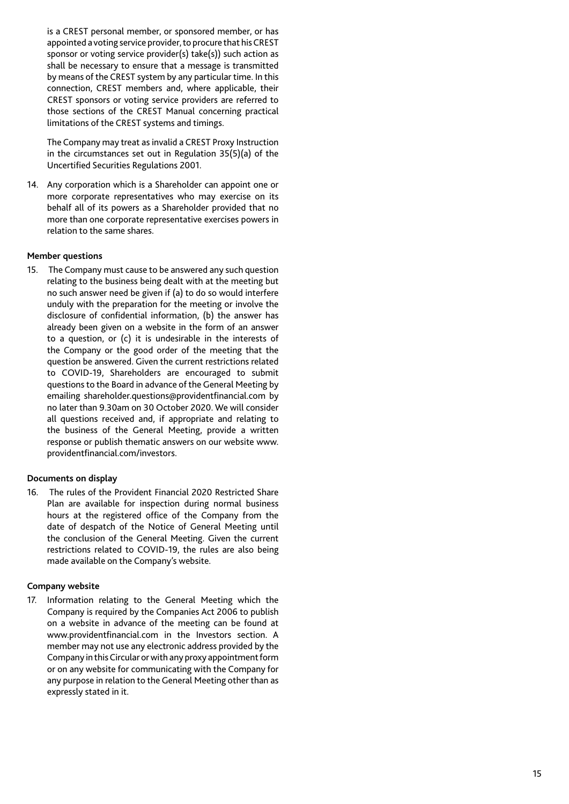is a CREST personal member, or sponsored member, or has appointed a voting service provider, to procure that his CREST sponsor or voting service provider(s) take(s)) such action as shall be necessary to ensure that a message is transmitted by means of the CREST system by any particular time. In this connection, CREST members and, where applicable, their CREST sponsors or voting service providers are referred to those sections of the CREST Manual concerning practical limitations of the CREST systems and timings.

 The Company may treat as invalid a CREST Proxy Instruction in the circumstances set out in Regulation 35(5)(a) of the Uncertified Securities Regulations 2001.

14. Any corporation which is a Shareholder can appoint one or more corporate representatives who may exercise on its behalf all of its powers as a Shareholder provided that no more than one corporate representative exercises powers in relation to the same shares.

## **Member questions**

15. The Company must cause to be answered any such question relating to the business being dealt with at the meeting but no such answer need be given if (a) to do so would interfere unduly with the preparation for the meeting or involve the disclosure of confidential information, (b) the answer has already been given on a website in the form of an answer to a question, or (c) it is undesirable in the interests of the Company or the good order of the meeting that the question be answered. Given the current restrictions related to COVID-19, Shareholders are encouraged to submit questions to the Board in advance of the General Meeting by emailing shareholder.questions@providentfinancial.com by no later than 9.30am on 30 October 2020. We will consider all questions received and, if appropriate and relating to the business of the General Meeting, provide a written response or publish thematic answers on our website www. providentfinancial.com/investors.

## **Documents on display**

16. The rules of the Provident Financial 2020 Restricted Share Plan are available for inspection during normal business hours at the registered office of the Company from the date of despatch of the Notice of General Meeting until the conclusion of the General Meeting. Given the current restrictions related to COVID-19, the rules are also being made available on the Company's website.

## **Company website**

17. Information relating to the General Meeting which the Company is required by the Companies Act 2006 to publish on a website in advance of the meeting can be found at www.providentfinancial.com in the Investors section. A member may not use any electronic address provided by the Company in this Circular or with any proxy appointment form or on any website for communicating with the Company for any purpose in relation to the General Meeting other than as expressly stated in it.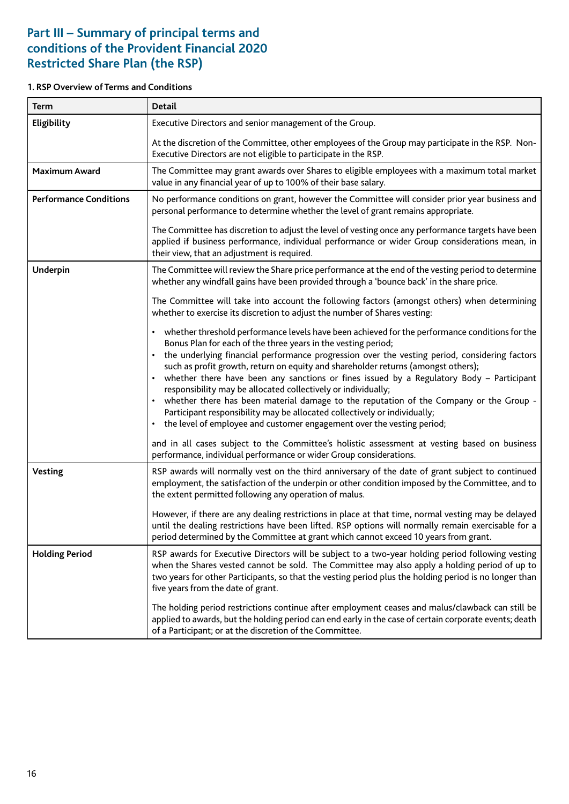## **Part III – Summary of principal terms and conditions of the Provident Financial 2020 Restricted Share Plan (the RSP)**

## **1. RSP Overview of Terms and Conditions**

| <b>Term</b>                   | <b>Detail</b>                                                                                                                                                                                                                                                                                                                                                                                                                                                                                                                                                                                                                                                                                                                                                                                                                        |  |  |
|-------------------------------|--------------------------------------------------------------------------------------------------------------------------------------------------------------------------------------------------------------------------------------------------------------------------------------------------------------------------------------------------------------------------------------------------------------------------------------------------------------------------------------------------------------------------------------------------------------------------------------------------------------------------------------------------------------------------------------------------------------------------------------------------------------------------------------------------------------------------------------|--|--|
| Eligibility                   | Executive Directors and senior management of the Group.                                                                                                                                                                                                                                                                                                                                                                                                                                                                                                                                                                                                                                                                                                                                                                              |  |  |
|                               | At the discretion of the Committee, other employees of the Group may participate in the RSP. Non-<br>Executive Directors are not eligible to participate in the RSP.                                                                                                                                                                                                                                                                                                                                                                                                                                                                                                                                                                                                                                                                 |  |  |
| <b>Maximum Award</b>          | The Committee may grant awards over Shares to eligible employees with a maximum total market<br>value in any financial year of up to 100% of their base salary.                                                                                                                                                                                                                                                                                                                                                                                                                                                                                                                                                                                                                                                                      |  |  |
| <b>Performance Conditions</b> | No performance conditions on grant, however the Committee will consider prior year business and<br>personal performance to determine whether the level of grant remains appropriate.                                                                                                                                                                                                                                                                                                                                                                                                                                                                                                                                                                                                                                                 |  |  |
|                               | The Committee has discretion to adjust the level of vesting once any performance targets have been<br>applied if business performance, individual performance or wider Group considerations mean, in<br>their view, that an adjustment is required.                                                                                                                                                                                                                                                                                                                                                                                                                                                                                                                                                                                  |  |  |
| Underpin                      | The Committee will review the Share price performance at the end of the vesting period to determine<br>whether any windfall gains have been provided through a 'bounce back' in the share price.                                                                                                                                                                                                                                                                                                                                                                                                                                                                                                                                                                                                                                     |  |  |
|                               | The Committee will take into account the following factors (amongst others) when determining<br>whether to exercise its discretion to adjust the number of Shares vesting:                                                                                                                                                                                                                                                                                                                                                                                                                                                                                                                                                                                                                                                           |  |  |
|                               | whether threshold performance levels have been achieved for the performance conditions for the<br>$\bullet$<br>Bonus Plan for each of the three years in the vesting period;<br>the underlying financial performance progression over the vesting period, considering factors<br>$\bullet$<br>such as profit growth, return on equity and shareholder returns (amongst others);<br>whether there have been any sanctions or fines issued by a Regulatory Body - Participant<br>$\bullet$<br>responsibility may be allocated collectively or individually;<br>whether there has been material damage to the reputation of the Company or the Group -<br>$\bullet$<br>Participant responsibility may be allocated collectively or individually;<br>the level of employee and customer engagement over the vesting period;<br>$\bullet$ |  |  |
|                               | and in all cases subject to the Committee's holistic assessment at vesting based on business<br>performance, individual performance or wider Group considerations.                                                                                                                                                                                                                                                                                                                                                                                                                                                                                                                                                                                                                                                                   |  |  |
| <b>Vesting</b>                | RSP awards will normally vest on the third anniversary of the date of grant subject to continued<br>employment, the satisfaction of the underpin or other condition imposed by the Committee, and to<br>the extent permitted following any operation of malus.                                                                                                                                                                                                                                                                                                                                                                                                                                                                                                                                                                       |  |  |
|                               | However, if there are any dealing restrictions in place at that time, normal vesting may be delayed<br>until the dealing restrictions have been lifted. RSP options will normally remain exercisable for a<br>period determined by the Committee at grant which cannot exceed 10 years from grant.                                                                                                                                                                                                                                                                                                                                                                                                                                                                                                                                   |  |  |
| <b>Holding Period</b>         | RSP awards for Executive Directors will be subject to a two-year holding period following vesting<br>when the Shares vested cannot be sold. The Committee may also apply a holding period of up to<br>two years for other Participants, so that the vesting period plus the holding period is no longer than<br>five years from the date of grant.                                                                                                                                                                                                                                                                                                                                                                                                                                                                                   |  |  |
|                               | The holding period restrictions continue after employment ceases and malus/clawback can still be<br>applied to awards, but the holding period can end early in the case of certain corporate events; death<br>of a Participant; or at the discretion of the Committee.                                                                                                                                                                                                                                                                                                                                                                                                                                                                                                                                                               |  |  |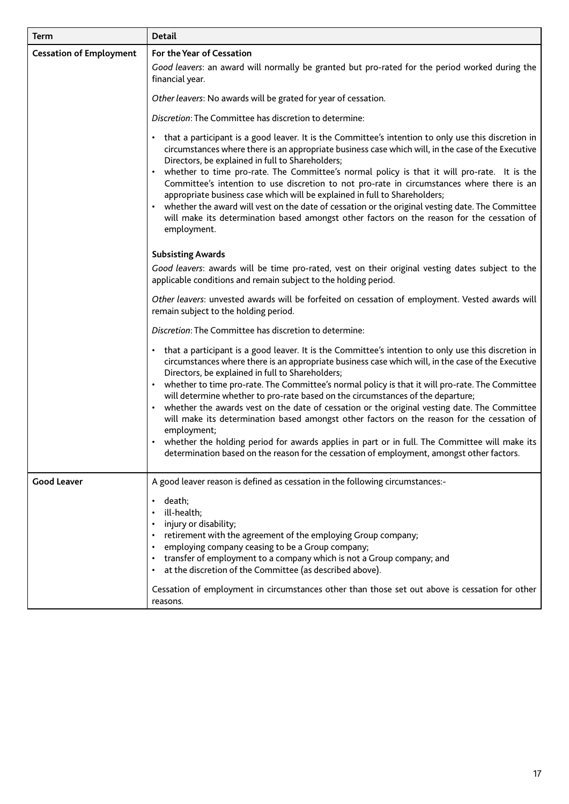| <b>Term</b>                    | <b>Detail</b>                                                                                                                                                                                                                                                                                                                                                                                                                                                                                                                                                                                                                                                                                                                                                                                                                                                                     |
|--------------------------------|-----------------------------------------------------------------------------------------------------------------------------------------------------------------------------------------------------------------------------------------------------------------------------------------------------------------------------------------------------------------------------------------------------------------------------------------------------------------------------------------------------------------------------------------------------------------------------------------------------------------------------------------------------------------------------------------------------------------------------------------------------------------------------------------------------------------------------------------------------------------------------------|
| <b>Cessation of Employment</b> | For the Year of Cessation<br>Good leavers: an award will normally be granted but pro-rated for the period worked during the<br>financial year.                                                                                                                                                                                                                                                                                                                                                                                                                                                                                                                                                                                                                                                                                                                                    |
|                                | Other leavers: No awards will be grated for year of cessation.                                                                                                                                                                                                                                                                                                                                                                                                                                                                                                                                                                                                                                                                                                                                                                                                                    |
|                                | Discretion: The Committee has discretion to determine:                                                                                                                                                                                                                                                                                                                                                                                                                                                                                                                                                                                                                                                                                                                                                                                                                            |
|                                | • that a participant is a good leaver. It is the Committee's intention to only use this discretion in<br>circumstances where there is an appropriate business case which will, in the case of the Executive<br>Directors, be explained in full to Shareholders;<br>whether to time pro-rate. The Committee's normal policy is that it will pro-rate. It is the<br>Committee's intention to use discretion to not pro-rate in circumstances where there is an<br>appropriate business case which will be explained in full to Shareholders;<br>whether the award will vest on the date of cessation or the original vesting date. The Committee<br>will make its determination based amongst other factors on the reason for the cessation of<br>employment.                                                                                                                       |
|                                | <b>Subsisting Awards</b>                                                                                                                                                                                                                                                                                                                                                                                                                                                                                                                                                                                                                                                                                                                                                                                                                                                          |
|                                | Good leavers: awards will be time pro-rated, vest on their original vesting dates subject to the<br>applicable conditions and remain subject to the holding period.                                                                                                                                                                                                                                                                                                                                                                                                                                                                                                                                                                                                                                                                                                               |
|                                | Other leavers: unvested awards will be forfeited on cessation of employment. Vested awards will<br>remain subject to the holding period.                                                                                                                                                                                                                                                                                                                                                                                                                                                                                                                                                                                                                                                                                                                                          |
|                                | Discretion: The Committee has discretion to determine:                                                                                                                                                                                                                                                                                                                                                                                                                                                                                                                                                                                                                                                                                                                                                                                                                            |
|                                | • that a participant is a good leaver. It is the Committee's intention to only use this discretion in<br>circumstances where there is an appropriate business case which will, in the case of the Executive<br>Directors, be explained in full to Shareholders;<br>• whether to time pro-rate. The Committee's normal policy is that it will pro-rate. The Committee<br>will determine whether to pro-rate based on the circumstances of the departure;<br>whether the awards vest on the date of cessation or the original vesting date. The Committee<br>$\bullet$<br>will make its determination based amongst other factors on the reason for the cessation of<br>employment;<br>• whether the holding period for awards applies in part or in full. The Committee will make its<br>determination based on the reason for the cessation of employment, amongst other factors. |
| <b>Good Leaver</b>             | A good leaver reason is defined as cessation in the following circumstances:-                                                                                                                                                                                                                                                                                                                                                                                                                                                                                                                                                                                                                                                                                                                                                                                                     |
|                                | death;<br>ill-health;<br>injury or disability;<br>retirement with the agreement of the employing Group company;<br>employing company ceasing to be a Group company;<br>transfer of employment to a company which is not a Group company; and<br>at the discretion of the Committee (as described above).<br>Cessation of employment in circumstances other than those set out above is cessation for other<br>reasons.                                                                                                                                                                                                                                                                                                                                                                                                                                                            |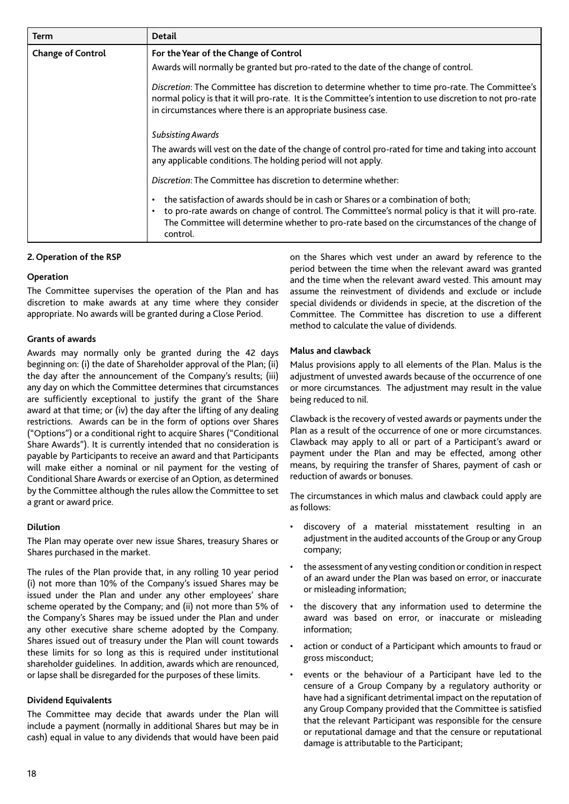| <b>Term</b>              | <b>Detail</b>                                                                                                                                                                                                                                                                                    |  |
|--------------------------|--------------------------------------------------------------------------------------------------------------------------------------------------------------------------------------------------------------------------------------------------------------------------------------------------|--|
| <b>Change of Control</b> | For the Year of the Change of Control                                                                                                                                                                                                                                                            |  |
|                          | Awards will normally be granted but pro-rated to the date of the change of control.                                                                                                                                                                                                              |  |
|                          | Discretion: The Committee has discretion to determine whether to time pro-rate. The Committee's<br>normal policy is that it will pro-rate. It is the Committee's intention to use discretion to not pro-rate<br>in circumstances where there is an appropriate business case.                    |  |
|                          | Subsisting Awards                                                                                                                                                                                                                                                                                |  |
|                          | The awards will vest on the date of the change of control pro-rated for time and taking into account<br>any applicable conditions. The holding period will not apply.                                                                                                                            |  |
|                          | Discretion: The Committee has discretion to determine whether:                                                                                                                                                                                                                                   |  |
|                          | the satisfaction of awards should be in cash or Shares or a combination of both;<br>to pro-rate awards on change of control. The Committee's normal policy is that it will pro-rate.<br>The Committee will determine whether to pro-rate based on the circumstances of the change of<br>control. |  |

## **2. Operation of the RSP**

## **Operation**

The Committee supervises the operation of the Plan and has discretion to make awards at any time where they consider appropriate. No awards will be granted during a Close Period.

## **Grants of awards**

Awards may normally only be granted during the 42 days beginning on: (i) the date of Shareholder approval of the Plan; (ii) the day after the announcement of the Company's results; (iii) any day on which the Committee determines that circumstances are sufficiently exceptional to justify the grant of the Share award at that time; or (iv) the day after the lifting of any dealing restrictions. Awards can be in the form of options over Shares ("Options") or a conditional right to acquire Shares ("Conditional Share Awards"). It is currently intended that no consideration is payable by Participants to receive an award and that Participants will make either a nominal or nil payment for the vesting of Conditional Share Awards or exercise of an Option, as determined by the Committee although the rules allow the Committee to set a grant or award price.

## **Dilution**

The Plan may operate over new issue Shares, treasury Shares or Shares purchased in the market.

The rules of the Plan provide that, in any rolling 10 year period (i) not more than 10% of the Company's issued Shares may be issued under the Plan and under any other employees' share scheme operated by the Company; and (ii) not more than 5% of the Company's Shares may be issued under the Plan and under any other executive share scheme adopted by the Company. Shares issued out of treasury under the Plan will count towards these limits for so long as this is required under institutional shareholder guidelines. In addition, awards which are renounced, or lapse shall be disregarded for the purposes of these limits.

## **Dividend Equivalents**

The Committee may decide that awards under the Plan will include a payment (normally in additional Shares but may be in cash) equal in value to any dividends that would have been paid on the Shares which vest under an award by reference to the period between the time when the relevant award was granted and the time when the relevant award vested. This amount may assume the reinvestment of dividends and exclude or include special dividends or dividends in specie, at the discretion of the Committee. The Committee has discretion to use a different method to calculate the value of dividends.

#### **Malus and clawback**

Malus provisions apply to all elements of the Plan. Malus is the adjustment of unvested awards because of the occurrence of one or more circumstances. The adjustment may result in the value being reduced to nil.

Clawback is the recovery of vested awards or payments under the Plan as a result of the occurrence of one or more circumstances. Clawback may apply to all or part of a Participant's award or payment under the Plan and may be effected, among other means, by requiring the transfer of Shares, payment of cash or reduction of awards or bonuses.

The circumstances in which malus and clawback could apply are as follows:

- discovery of a material misstatement resulting in an adjustment in the audited accounts of the Group or any Group company;
- the assessment of any vesting condition or condition in respect of an award under the Plan was based on error, or inaccurate or misleading information;
- the discovery that any information used to determine the award was based on error, or inaccurate or misleading information;
- action or conduct of a Participant which amounts to fraud or gross misconduct;
- events or the behaviour of a Participant have led to the censure of a Group Company by a regulatory authority or have had a significant detrimental impact on the reputation of any Group Company provided that the Committee is satisfied that the relevant Participant was responsible for the censure or reputational damage and that the censure or reputational damage is attributable to the Participant;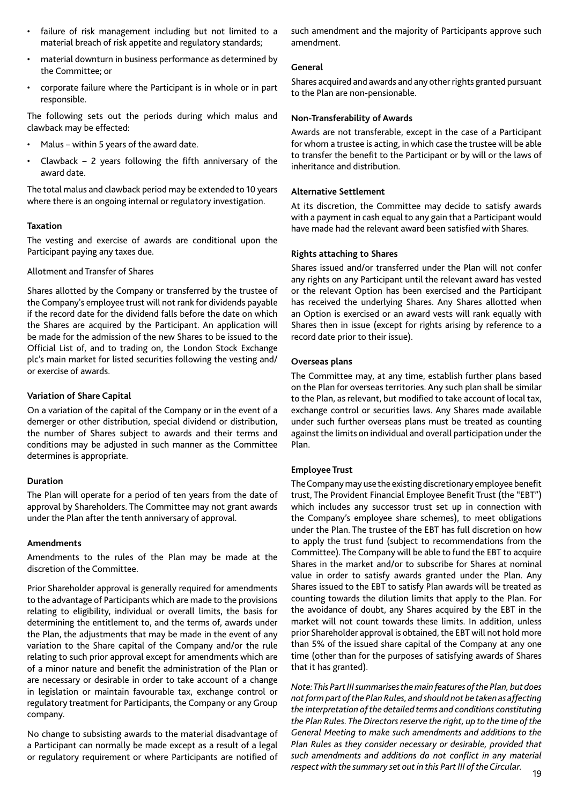- failure of risk management including but not limited to a material breach of risk appetite and regulatory standards;
- material downturn in business performance as determined by the Committee; or
- corporate failure where the Participant is in whole or in part responsible.

The following sets out the periods during which malus and clawback may be effected:

- Malus within 5 years of the award date.
- Clawback  $-$  2 years following the fifth anniversary of the award date.

The total malus and clawback period may be extended to 10 years where there is an ongoing internal or regulatory investigation.

## **Taxation**

The vesting and exercise of awards are conditional upon the Participant paying any taxes due.

Allotment and Transfer of Shares

Shares allotted by the Company or transferred by the trustee of the Company's employee trust will not rank for dividends payable if the record date for the dividend falls before the date on which the Shares are acquired by the Participant. An application will be made for the admission of the new Shares to be issued to the Official List of, and to trading on, the London Stock Exchange plc's main market for listed securities following the vesting and/ or exercise of awards.

## **Variation of Share Capital**

On a variation of the capital of the Company or in the event of a demerger or other distribution, special dividend or distribution, the number of Shares subject to awards and their terms and conditions may be adjusted in such manner as the Committee determines is appropriate.

## **Duration**

The Plan will operate for a period of ten years from the date of approval by Shareholders. The Committee may not grant awards under the Plan after the tenth anniversary of approval.

## **Amendments**

Amendments to the rules of the Plan may be made at the discretion of the Committee.

Prior Shareholder approval is generally required for amendments to the advantage of Participants which are made to the provisions relating to eligibility, individual or overall limits, the basis for determining the entitlement to, and the terms of, awards under the Plan, the adjustments that may be made in the event of any variation to the Share capital of the Company and/or the rule relating to such prior approval except for amendments which are of a minor nature and benefit the administration of the Plan or are necessary or desirable in order to take account of a change in legislation or maintain favourable tax, exchange control or regulatory treatment for Participants, the Company or any Group company.

No change to subsisting awards to the material disadvantage of a Participant can normally be made except as a result of a legal or regulatory requirement or where Participants are notified of

such amendment and the majority of Participants approve such amendment.

## **General**

Shares acquired and awards and any other rights granted pursuant to the Plan are non-pensionable.

## **Non-Transferability of Awards**

Awards are not transferable, except in the case of a Participant for whom a trustee is acting, in which case the trustee will be able to transfer the benefit to the Participant or by will or the laws of inheritance and distribution.

## **Alternative Settlement**

At its discretion, the Committee may decide to satisfy awards with a payment in cash equal to any gain that a Participant would have made had the relevant award been satisfied with Shares.

## **Rights attaching to Shares**

Shares issued and/or transferred under the Plan will not confer any rights on any Participant until the relevant award has vested or the relevant Option has been exercised and the Participant has received the underlying Shares. Any Shares allotted when an Option is exercised or an award vests will rank equally with Shares then in issue (except for rights arising by reference to a record date prior to their issue).

## **Overseas plans**

The Committee may, at any time, establish further plans based on the Plan for overseas territories. Any such plan shall be similar to the Plan, as relevant, but modified to take account of local tax, exchange control or securities laws. Any Shares made available under such further overseas plans must be treated as counting against the limits on individual and overall participation under the Plan.

## **Employee Trust**

The Company may use the existing discretionary employee benefit trust, The Provident Financial Employee Benefit Trust (the "EBT") which includes any successor trust set up in connection with the Company's employee share schemes), to meet obligations under the Plan. The trustee of the EBT has full discretion on how to apply the trust fund (subject to recommendations from the Committee). The Company will be able to fund the EBT to acquire Shares in the market and/or to subscribe for Shares at nominal value in order to satisfy awards granted under the Plan. Any Shares issued to the EBT to satisfy Plan awards will be treated as counting towards the dilution limits that apply to the Plan. For the avoidance of doubt, any Shares acquired by the EBT in the market will not count towards these limits. In addition, unless prior Shareholder approval is obtained, the EBT will not hold more than 5% of the issued share capital of the Company at any one time (other than for the purposes of satisfying awards of Shares that it has granted).

*Note: This Part III summarises the main features of the Plan, but does not form part of the Plan Rules, and should not be taken as affecting the interpretation of the detailed terms and conditions constituting the Plan Rules. The Directors reserve the right, up to the time of the General Meeting to make such amendments and additions to the Plan Rules as they consider necessary or desirable, provided that such amendments and additions do not conflict in any material respect with the summary set out in this Part III of the Circular.*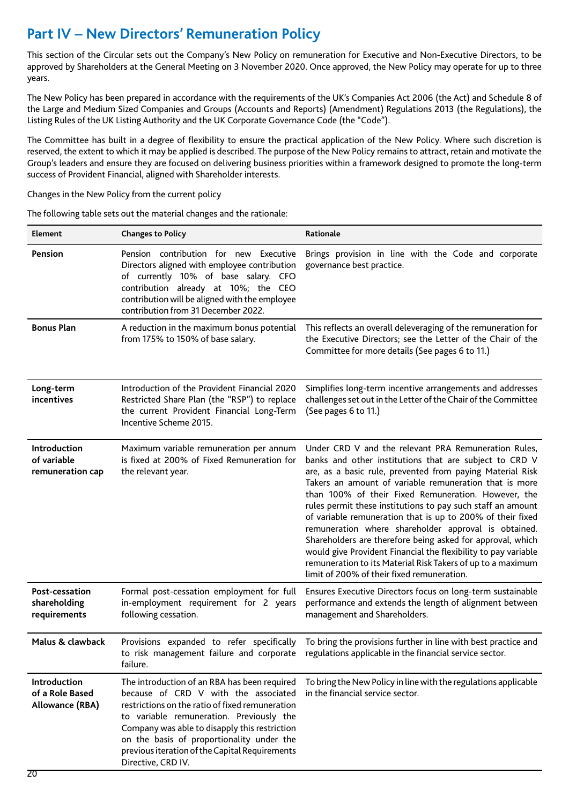## **Part IV – New Directors' Remuneration Policy**

This section of the Circular sets out the Company's New Policy on remuneration for Executive and Non-Executive Directors, to be approved by Shareholders at the General Meeting on 3 November 2020. Once approved, the New Policy may operate for up to three years.

The New Policy has been prepared in accordance with the requirements of the UK's Companies Act 2006 (the Act) and Schedule 8 of the Large and Medium Sized Companies and Groups (Accounts and Reports) (Amendment) Regulations 2013 (the Regulations), the Listing Rules of the UK Listing Authority and the UK Corporate Governance Code (the "Code").

The Committee has built in a degree of flexibility to ensure the practical application of the New Policy. Where such discretion is reserved, the extent to which it may be applied is described. The purpose of the New Policy remains to attract, retain and motivate the Group's leaders and ensure they are focused on delivering business priorities within a framework designed to promote the long-term success of Provident Financial, aligned with Shareholder interests.

Changes in the New Policy from the current policy

The following table sets out the material changes and the rationale:

| Element                                            | <b>Changes to Policy</b>                                                                                                                                                                                                                                                                                                                                  | Rationale                                                                                                                                                                                                                                                                                                                                                                                                                                                                                                                                                                                                                                                                                                                      |
|----------------------------------------------------|-----------------------------------------------------------------------------------------------------------------------------------------------------------------------------------------------------------------------------------------------------------------------------------------------------------------------------------------------------------|--------------------------------------------------------------------------------------------------------------------------------------------------------------------------------------------------------------------------------------------------------------------------------------------------------------------------------------------------------------------------------------------------------------------------------------------------------------------------------------------------------------------------------------------------------------------------------------------------------------------------------------------------------------------------------------------------------------------------------|
| Pension                                            | Pension contribution for new Executive<br>Directors aligned with employee contribution<br>of currently 10% of base salary. CFO<br>contribution already at 10%; the CEO<br>contribution will be aligned with the employee<br>contribution from 31 December 2022.                                                                                           | Brings provision in line with the Code and corporate<br>governance best practice.                                                                                                                                                                                                                                                                                                                                                                                                                                                                                                                                                                                                                                              |
| <b>Bonus Plan</b>                                  | A reduction in the maximum bonus potential<br>from 175% to 150% of base salary.                                                                                                                                                                                                                                                                           | This reflects an overall deleveraging of the remuneration for<br>the Executive Directors; see the Letter of the Chair of the<br>Committee for more details (See pages 6 to 11.)                                                                                                                                                                                                                                                                                                                                                                                                                                                                                                                                                |
| Long-term<br>incentives                            | Introduction of the Provident Financial 2020<br>Restricted Share Plan (the "RSP") to replace<br>the current Provident Financial Long-Term<br>Incentive Scheme 2015.                                                                                                                                                                                       | Simplifies long-term incentive arrangements and addresses<br>challenges set out in the Letter of the Chair of the Committee<br>(See pages 6 to 11.)                                                                                                                                                                                                                                                                                                                                                                                                                                                                                                                                                                            |
| Introduction<br>of variable<br>remuneration cap    | Maximum variable remuneration per annum<br>is fixed at 200% of Fixed Remuneration for<br>the relevant year.                                                                                                                                                                                                                                               | Under CRD V and the relevant PRA Remuneration Rules,<br>banks and other institutions that are subject to CRD V<br>are, as a basic rule, prevented from paying Material Risk<br>Takers an amount of variable remuneration that is more<br>than 100% of their Fixed Remuneration. However, the<br>rules permit these institutions to pay such staff an amount<br>of variable remuneration that is up to 200% of their fixed<br>remuneration where shareholder approval is obtained.<br>Shareholders are therefore being asked for approval, which<br>would give Provident Financial the flexibility to pay variable<br>remuneration to its Material Risk Takers of up to a maximum<br>limit of 200% of their fixed remuneration. |
| Post-cessation<br>shareholding<br>requirements     | Formal post-cessation employment for full<br>in-employment requirement for 2 years<br>following cessation.                                                                                                                                                                                                                                                | Ensures Executive Directors focus on long-term sustainable<br>performance and extends the length of alignment between<br>management and Shareholders.                                                                                                                                                                                                                                                                                                                                                                                                                                                                                                                                                                          |
| Malus & clawback                                   | failure.                                                                                                                                                                                                                                                                                                                                                  | Provisions expanded to refer specifically To bring the provisions further in line with best practice and<br>to risk management failure and corporate regulations applicable in the financial service sector.                                                                                                                                                                                                                                                                                                                                                                                                                                                                                                                   |
| Introduction<br>of a Role Based<br>Allowance (RBA) | The introduction of an RBA has been required<br>because of CRD V with the associated<br>restrictions on the ratio of fixed remuneration<br>to variable remuneration. Previously the<br>Company was able to disapply this restriction<br>on the basis of proportionality under the<br>previous iteration of the Capital Requirements<br>Directive, CRD IV. | To bring the New Policy in line with the regulations applicable<br>in the financial service sector.                                                                                                                                                                                                                                                                                                                                                                                                                                                                                                                                                                                                                            |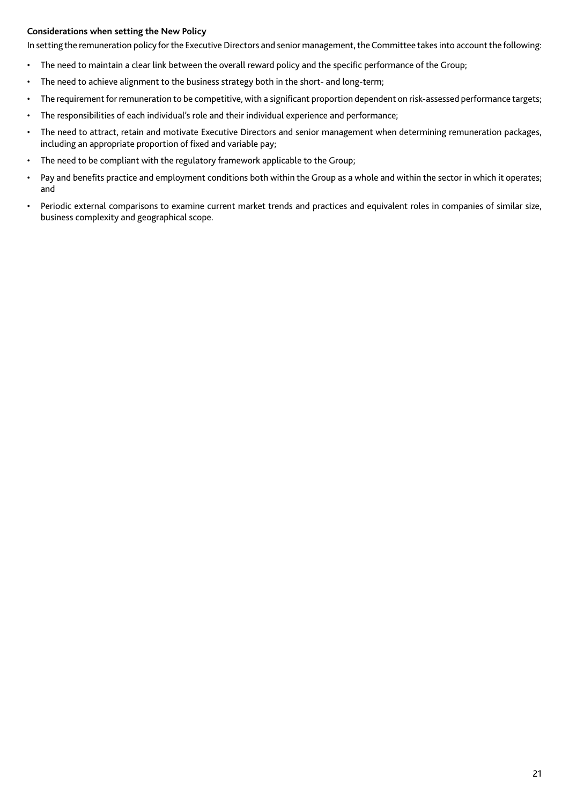## **Considerations when setting the New Policy**

In setting the remuneration policy for the Executive Directors and senior management, the Committee takes into account the following:

- The need to maintain a clear link between the overall reward policy and the specific performance of the Group;
- The need to achieve alignment to the business strategy both in the short- and long-term;
- The requirement for remuneration to be competitive, with a significant proportion dependent on risk-assessed performance targets;
- The responsibilities of each individual's role and their individual experience and performance;
- The need to attract, retain and motivate Executive Directors and senior management when determining remuneration packages, including an appropriate proportion of fixed and variable pay;
- The need to be compliant with the regulatory framework applicable to the Group;
- Pay and benefits practice and employment conditions both within the Group as a whole and within the sector in which it operates; and
- Periodic external comparisons to examine current market trends and practices and equivalent roles in companies of similar size, business complexity and geographical scope.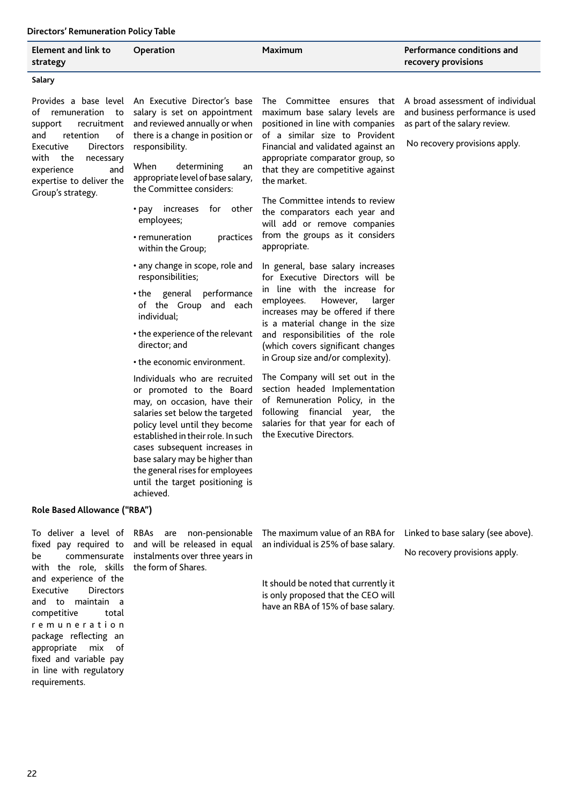## **Directors' Remuneration Policy Table**

| Element and link to<br>strategy                                                                                                                                                    | Operation                                                                                                                                                                                                                                                                                                                                                                                                                                                                                                                                                                                                   | <b>Maximum</b>                                                                                                                                                                                                                                                                                                                                                                                                                                                                                                                                                                                                                                                                                                                                               | Performance conditions and<br>recovery provisions                                                                                      |
|------------------------------------------------------------------------------------------------------------------------------------------------------------------------------------|-------------------------------------------------------------------------------------------------------------------------------------------------------------------------------------------------------------------------------------------------------------------------------------------------------------------------------------------------------------------------------------------------------------------------------------------------------------------------------------------------------------------------------------------------------------------------------------------------------------|--------------------------------------------------------------------------------------------------------------------------------------------------------------------------------------------------------------------------------------------------------------------------------------------------------------------------------------------------------------------------------------------------------------------------------------------------------------------------------------------------------------------------------------------------------------------------------------------------------------------------------------------------------------------------------------------------------------------------------------------------------------|----------------------------------------------------------------------------------------------------------------------------------------|
| Salary                                                                                                                                                                             |                                                                                                                                                                                                                                                                                                                                                                                                                                                                                                                                                                                                             |                                                                                                                                                                                                                                                                                                                                                                                                                                                                                                                                                                                                                                                                                                                                                              |                                                                                                                                        |
| of<br>recruitment<br>support<br>retention<br>and<br>of<br>Executive<br>Directors<br>with<br>the<br>necessary<br>experience<br>and<br>expertise to deliver the<br>Group's strategy. | Provides a base level An Executive Director's base<br>remuneration to salary is set on appointment<br>and reviewed annually or when<br>there is a change in position or<br>responsibility.<br>When<br>determining<br>an<br>appropriate level of base salary,<br>the Committee considers:<br>• pay increases for other<br>employees;<br>practices<br>• remuneration<br>within the Group;<br>• any change in scope, role and<br>responsibilities;<br>• the general<br>performance<br>of the Group and each<br>individual;<br>• the experience of the relevant<br>director; and<br>• the economic environment. | The Committee ensures that<br>maximum base salary levels are<br>positioned in line with companies<br>of a similar size to Provident<br>Financial and validated against an<br>appropriate comparator group, so<br>that they are competitive against<br>the market.<br>The Committee intends to review<br>the comparators each year and<br>will add or remove companies<br>from the groups as it considers<br>appropriate.<br>In general, base salary increases<br>for Executive Directors will be<br>in line with the increase for<br>employees.<br>However,<br>larger<br>increases may be offered if there<br>is a material change in the size<br>and responsibilities of the role<br>(which covers significant changes<br>in Group size and/or complexity). | A broad assessment of individual<br>and business performance is used<br>as part of the salary review.<br>No recovery provisions apply. |
|                                                                                                                                                                                    | Individuals who are recruited<br>or promoted to the Board<br>may, on occasion, have their<br>salaries set below the targeted<br>policy level until they become<br>established in their role. In such<br>cases subsequent increases in<br>base salary may be higher than<br>the general rises for employees<br>until the target positioning is<br>achieved.                                                                                                                                                                                                                                                  | The Company will set out in the<br>section headed Implementation<br>of Remuneration Policy, in the<br>following financial year, the<br>salaries for that year for each of<br>the Executive Directors.                                                                                                                                                                                                                                                                                                                                                                                                                                                                                                                                                        |                                                                                                                                        |
| Role Based Allowance ("RBA")                                                                                                                                                       |                                                                                                                                                                                                                                                                                                                                                                                                                                                                                                                                                                                                             |                                                                                                                                                                                                                                                                                                                                                                                                                                                                                                                                                                                                                                                                                                                                                              |                                                                                                                                        |

with the role, skills the form of Shares. and experience of the<br>Executive Directors Executive and to maintain a competitive total r e m u n e r a t i o n package reflecting an appropriate mix of fixed and variable pay in line with regulatory requirements.

To deliver a level of RBAs are non-pensionable fixed pay required to and will be released in equal be commensurate instalments over three years in

The maximum value of an RBA for an individual is 25% of base salary.

It should be noted that currently it is only proposed that the CEO will have an RBA of 15% of base salary. Linked to base salary (see above).

No recovery provisions apply.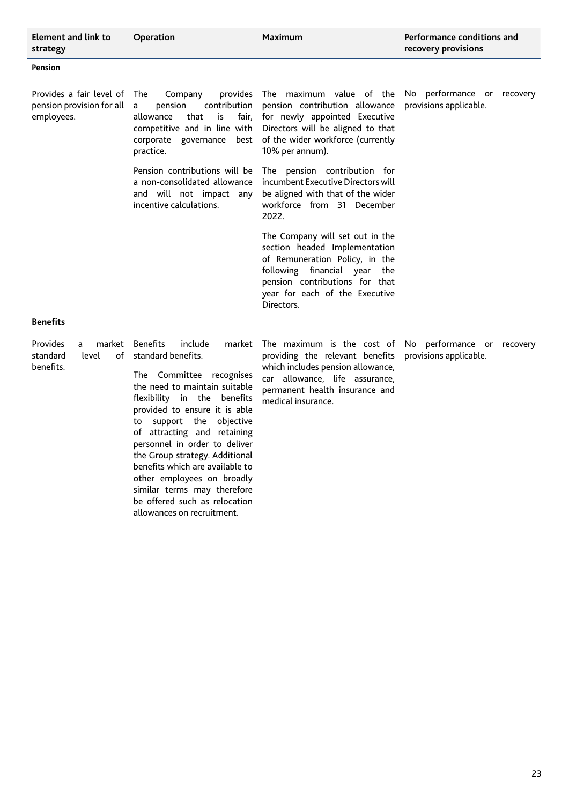| Element and link to<br>strategy                                        | Operation                                                                                                                                                                                                                                                                                                                                                                                                                                                                                  | <b>Maximum</b>                                                                                                                                                                                                       | Performance conditions and<br>recovery provisions         |
|------------------------------------------------------------------------|--------------------------------------------------------------------------------------------------------------------------------------------------------------------------------------------------------------------------------------------------------------------------------------------------------------------------------------------------------------------------------------------------------------------------------------------------------------------------------------------|----------------------------------------------------------------------------------------------------------------------------------------------------------------------------------------------------------------------|-----------------------------------------------------------|
| Pension                                                                |                                                                                                                                                                                                                                                                                                                                                                                                                                                                                            |                                                                                                                                                                                                                      |                                                           |
| Provides a fair level of<br>pension provision for all<br>employees.    | The<br>Company<br>provides<br>contribution<br>pension<br>a<br>that<br>is<br>fair,<br>allowance<br>competitive and in line with<br>corporate governance<br>best<br>practice.                                                                                                                                                                                                                                                                                                                | The maximum value of the<br>pension contribution allowance<br>for newly appointed Executive<br>Directors will be aligned to that<br>of the wider workforce (currently<br>10% per annum).                             | performance or recovery<br>No l<br>provisions applicable. |
|                                                                        | Pension contributions will be<br>a non-consolidated allowance<br>and will not impact any<br>incentive calculations.                                                                                                                                                                                                                                                                                                                                                                        | The pension contribution for<br>incumbent Executive Directors will<br>be aligned with that of the wider<br>workforce from 31 December<br>2022.                                                                       |                                                           |
|                                                                        |                                                                                                                                                                                                                                                                                                                                                                                                                                                                                            | The Company will set out in the<br>section headed Implementation<br>of Remuneration Policy, in the<br>following financial year the<br>pension contributions for that<br>year for each of the Executive<br>Directors. |                                                           |
| <b>Benefits</b>                                                        |                                                                                                                                                                                                                                                                                                                                                                                                                                                                                            |                                                                                                                                                                                                                      |                                                           |
| <b>Provides</b><br>market<br>a<br>standard<br>level<br>of<br>benefits. | <b>Benefits</b><br>include<br>market<br>standard benefits.<br>The Committee recognises<br>the need to maintain suitable<br>flexibility in the benefits<br>provided to ensure it is able<br>support the<br>objective<br>to<br>of attracting and retaining<br>personnel in order to deliver<br>the Group strategy. Additional<br>benefits which are available to<br>other employees on broadly<br>similar terms may therefore<br>be offered such as relocation<br>allowances on recruitment. | The maximum is the cost of No<br>providing the relevant benefits<br>which includes pension allowance,<br>car allowance, life assurance,<br>permanent health insurance and<br>medical insurance.                      | performance or recovery<br>provisions applicable.         |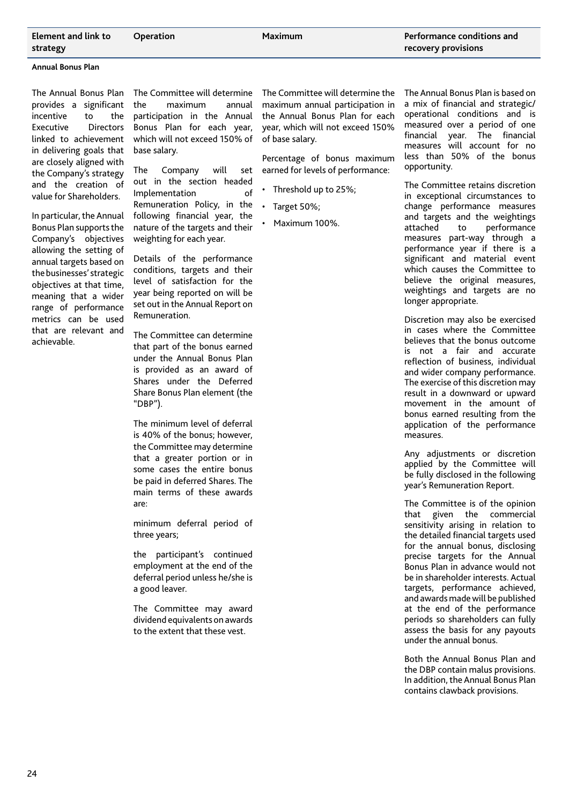**Annual Bonus Plan** 

The Annual Bonus Plan provides a significant incentive to the Executive Directors linked to achievement in delivering goals that are closely aligned with the Company's strategy and the creation of value for Shareholders.

In particular, the Annual Bonus Plan supports the Company's objectives allowing the setting of annual targets based on the businesses' strategic objectives at that time, meaning that a wider range of performance metrics can be used that are relevant and achievable.

The Committee will determine the maximum annual participation in the Annual Bonus Plan for each year, which will not exceed 150% of base salary.

The Company will set out in the section headed Implementation of Remuneration Policy, in the following financial year, the nature of the targets and their weighting for each year.

Details of the performance conditions, targets and their level of satisfaction for the year being reported on will be set out in the Annual Report on Remuneration.

The Committee can determine that part of the bonus earned under the Annual Bonus Plan is provided as an award of Shares under the Deferred Share Bonus Plan element (the "DBP").

The minimum level of deferral is 40% of the bonus; however, the Committee may determine that a greater portion or in some cases the entire bonus be paid in deferred Shares. The main terms of these awards are:

minimum deferral period of three years;

the participant's continued employment at the end of the deferral period unless he/she is a good leaver.

The Committee may award dividend equivalents on awards to the extent that these vest.

The Committee will determine the maximum annual participation in the Annual Bonus Plan for each year, which will not exceed 150% of base salary.

Percentage of bonus maximum earned for levels of performance:

- Threshold up to 25%;
- Target 50%;

• Maximum 100%.

The Annual Bonus Plan is based on a mix of financial and strategic/ operational conditions and is measured over a period of one financial year. The financial measures will account for no less than 50% of the bonus opportunity.

The Committee retains discretion in exceptional circumstances to change performance measures and targets and the weightings attached to performance measures part-way through a performance year if there is a significant and material event which causes the Committee to believe the original measures, weightings and targets are no longer appropriate.

Discretion may also be exercised in cases where the Committee believes that the bonus outcome is not a fair and accurate reflection of business, individual and wider company performance. The exercise of this discretion may result in a downward or upward movement in the amount of bonus earned resulting from the application of the performance measures.

Any adjustments or discretion applied by the Committee will be fully disclosed in the following year's Remuneration Report.

The Committee is of the opinion that given the commercial sensitivity arising in relation to the detailed financial targets used for the annual bonus, disclosing precise targets for the Annual Bonus Plan in advance would not be in shareholder interests. Actual targets, performance achieved, and awards made will be published at the end of the performance periods so shareholders can fully assess the basis for any payouts under the annual bonus.

Both the Annual Bonus Plan and the DBP contain malus provisions. In addition, the Annual Bonus Plan contains clawback provisions.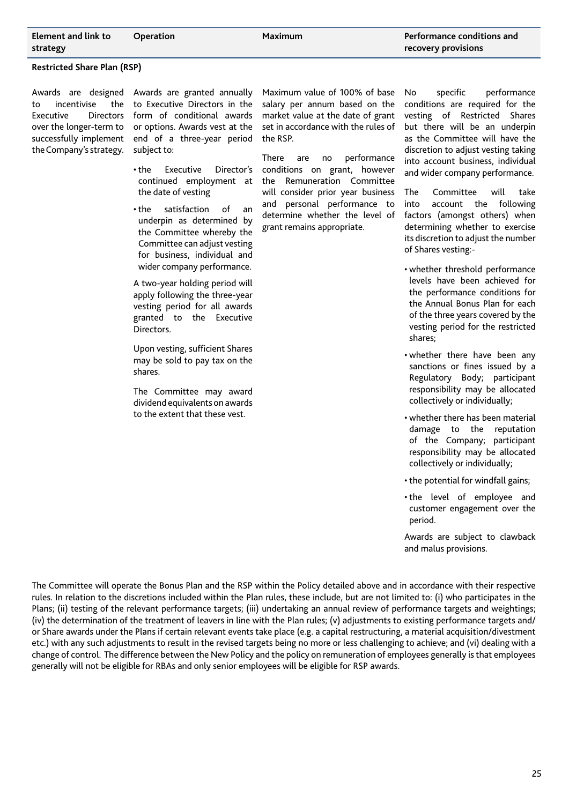**Restricted Share Plan (RSP)**

Awards are designed to incentivise the Executive Directors over the longer-term to successfully implement the Company's strategy.

Awards are granted annually to Executive Directors in the form of conditional awards or options. Awards vest at the end of a three-year period subject to:

• the Executive Director's continued employment at the date of vesting

• the satisfaction of an underpin as determined by the Committee whereby the Committee can adjust vesting for business, individual and wider company performance.

A two-year holding period will apply following the three-year vesting period for all awards granted to the Executive Directors.

Upon vesting, sufficient Shares may be sold to pay tax on the shares.

The Committee may award dividend equivalents on awards to the extent that these vest.

Maximum value of 100% of base salary per annum based on the market value at the date of grant set in accordance with the rules of the RSP.

There are no performance conditions on grant, however the Remuneration Committee will consider prior year business and personal performance to determine whether the level of grant remains appropriate.

No specific performance conditions are required for the vesting of Restricted Shares but there will be an underpin as the Committee will have the discretion to adjust vesting taking into account business, individual and wider company performance.

The Committee will take into account the following factors (amongst others) when determining whether to exercise its discretion to adjust the number of Shares vesting:-

- whether threshold performance levels have been achieved for the performance conditions for the Annual Bonus Plan for each of the three years covered by the vesting period for the restricted shares;
- whether there have been any sanctions or fines issued by a Regulatory Body; participant responsibility may be allocated collectively or individually;
- whether there has been material damage to the reputation of the Company; participant responsibility may be allocated collectively or individually;
- the potential for windfall gains;
- the level of employee and customer engagement over the period.

Awards are subject to clawback and malus provisions.

The Committee will operate the Bonus Plan and the RSP within the Policy detailed above and in accordance with their respective rules. In relation to the discretions included within the Plan rules, these include, but are not limited to: (i) who participates in the Plans; (ii) testing of the relevant performance targets; (iii) undertaking an annual review of performance targets and weightings; (iv) the determination of the treatment of leavers in line with the Plan rules; (v) adjustments to existing performance targets and/ or Share awards under the Plans if certain relevant events take place (e.g. a capital restructuring, a material acquisition/divestment etc.) with any such adjustments to result in the revised targets being no more or less challenging to achieve; and (vi) dealing with a change of control. The difference between the New Policy and the policy on remuneration of employees generally is that employees generally will not be eligible for RBAs and only senior employees will be eligible for RSP awards.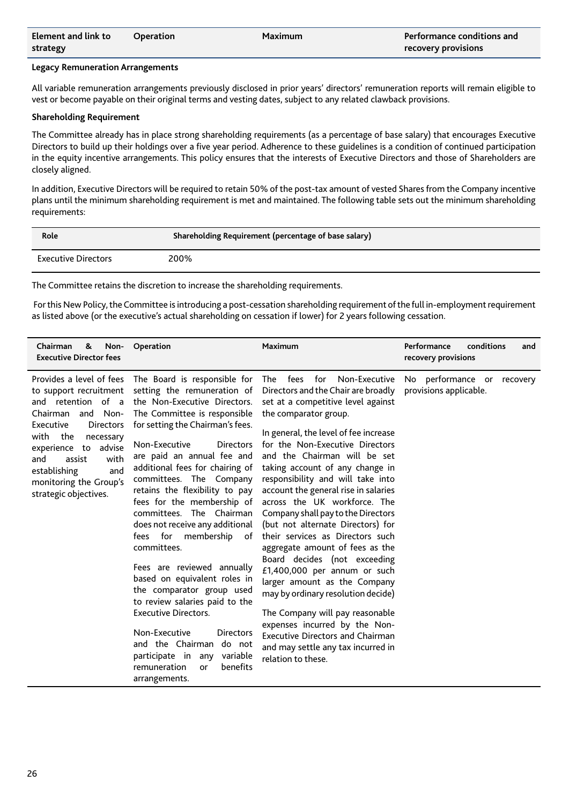| Element and link to | <b>Operation</b> | Maximum | Performance conditions and |
|---------------------|------------------|---------|----------------------------|
| strategy            |                  |         | recovery provisions        |

#### **Legacy Remuneration Arrangements**

All variable remuneration arrangements previously disclosed in prior years' directors' remuneration reports will remain eligible to vest or become payable on their original terms and vesting dates, subject to any related clawback provisions.

#### **Shareholding Requirement**

The Committee already has in place strong shareholding requirements (as a percentage of base salary) that encourages Executive Directors to build up their holdings over a five year period. Adherence to these guidelines is a condition of continued participation in the equity incentive arrangements. This policy ensures that the interests of Executive Directors and those of Shareholders are closely aligned.

In addition, Executive Directors will be required to retain 50% of the post-tax amount of vested Shares from the Company incentive plans until the minimum shareholding requirement is met and maintained. The following table sets out the minimum shareholding requirements:

| Role                       | Shareholding Requirement (percentage of base salary) |
|----------------------------|------------------------------------------------------|
| <b>Executive Directors</b> | 200%                                                 |

The Committee retains the discretion to increase the shareholding requirements.

 For this New Policy, the Committee is introducing a post-cessation shareholding requirement of the full in-employment requirement as listed above (or the executive's actual shareholding on cessation if lower) for 2 years following cessation.

| Chairman<br>&<br><b>Executive Director fees</b>                                                                                                                                                                                            | Non-<br>Operation                                                                                                                                                                                                                                                                                                                                                                                                                                                                                                                                                                                                                                                                                                                                                                                                                          | <b>Maximum</b>                                                                                                                                                                                                                                                                                                                                                                                                                                                                                                                                                                                                                                                                                                                                                                                                                                                     | Performance<br>conditions<br>and<br>recovery provisions |
|--------------------------------------------------------------------------------------------------------------------------------------------------------------------------------------------------------------------------------------------|--------------------------------------------------------------------------------------------------------------------------------------------------------------------------------------------------------------------------------------------------------------------------------------------------------------------------------------------------------------------------------------------------------------------------------------------------------------------------------------------------------------------------------------------------------------------------------------------------------------------------------------------------------------------------------------------------------------------------------------------------------------------------------------------------------------------------------------------|--------------------------------------------------------------------------------------------------------------------------------------------------------------------------------------------------------------------------------------------------------------------------------------------------------------------------------------------------------------------------------------------------------------------------------------------------------------------------------------------------------------------------------------------------------------------------------------------------------------------------------------------------------------------------------------------------------------------------------------------------------------------------------------------------------------------------------------------------------------------|---------------------------------------------------------|
| to support recruitment<br>and retention of a<br>Chairman and Non-<br>Executive<br><b>Directors</b><br>with<br>the<br>necessary<br>experience to advise<br>and<br>assist<br>establishing<br>monitoring the Group's<br>strategic objectives. | Provides a level of fees The Board is responsible for<br>setting the remuneration of<br>the Non-Executive Directors.<br>The Committee is responsible<br>for setting the Chairman's fees.<br>Non-Executive<br><b>Directors</b><br>are paid an annual fee and<br>with<br>additional fees for chairing of<br>and<br>committees. The Company<br>retains the flexibility to pay<br>fees for the membership of<br>committees. The Chairman<br>does not receive any additional<br>fees for<br>membership<br>of<br>committees.<br>Fees are reviewed annually<br>based on equivalent roles in<br>the comparator group used<br>to review salaries paid to the<br><b>Executive Directors.</b><br>Non-Executive<br><b>Directors</b><br>and the Chairman<br>do not<br>participate in any<br>variable<br>remuneration<br>benefits<br>or<br>arrangements. | The fees for<br>Non-Executive<br>Directors and the Chair are broadly<br>set at a competitive level against<br>the comparator group.<br>In general, the level of fee increase<br>for the Non-Executive Directors<br>and the Chairman will be set<br>taking account of any change in<br>responsibility and will take into<br>account the general rise in salaries<br>across the UK workforce. The<br>Company shall pay to the Directors<br>(but not alternate Directors) for<br>their services as Directors such<br>aggregate amount of fees as the<br>Board decides (not exceeding<br>£1,400,000 per annum or such<br>larger amount as the Company<br>may by ordinary resolution decide)<br>The Company will pay reasonable<br>expenses incurred by the Non-<br><b>Executive Directors and Chairman</b><br>and may settle any tax incurred in<br>relation to these. | No performance or recovery<br>provisions applicable.    |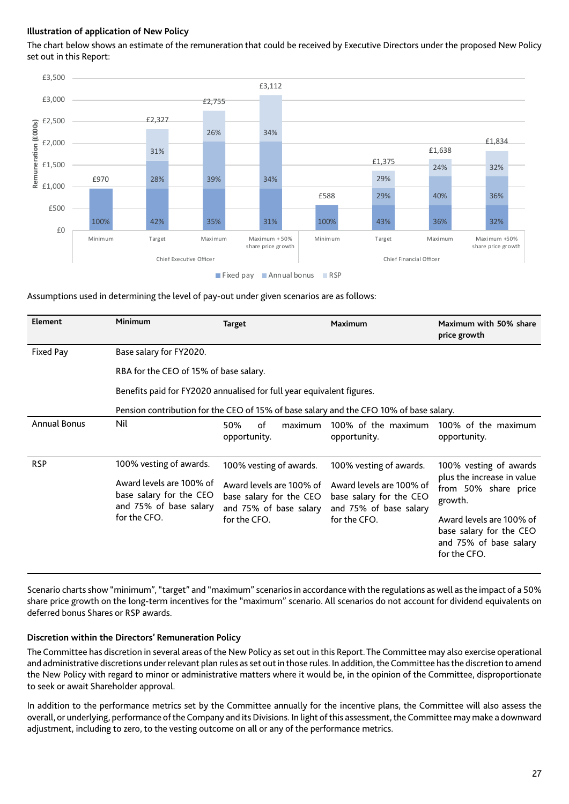## **Illustration of application of New Policy**

The chart below shows an estimate of the remuneration that could be received by Executive Directors under the proposed New Policy set out in this Report:



## Assumptions used in determining the level of pay-out under given scenarios are as follows:

| Element             | Minimum                                                                                                                  | <b>Target</b>                                                                                                            | <b>Maximum</b>                                                                                                           | Maximum with 50% share<br>price growth                                                                                                                                                   |
|---------------------|--------------------------------------------------------------------------------------------------------------------------|--------------------------------------------------------------------------------------------------------------------------|--------------------------------------------------------------------------------------------------------------------------|------------------------------------------------------------------------------------------------------------------------------------------------------------------------------------------|
| Fixed Pay           | Base salary for FY2020.<br>RBA for the CEO of 15% of base salary.                                                        | Benefits paid for FY2020 annualised for full year equivalent figures.                                                    | Pension contribution for the CEO of 15% of base salary and the CFO 10% of base salary.                                   |                                                                                                                                                                                          |
| <b>Annual Bonus</b> | Nil                                                                                                                      | 50%<br>οf<br>maximum<br>opportunity.                                                                                     | 100% of the maximum<br>opportunity.                                                                                      | 100% of the maximum<br>opportunity.                                                                                                                                                      |
| <b>RSP</b>          | 100% vesting of awards.<br>Award levels are 100% of<br>base salary for the CEO<br>and 75% of base salary<br>for the CFO. | 100% vesting of awards.<br>Award levels are 100% of<br>base salary for the CEO<br>and 75% of base salary<br>for the CFO. | 100% vesting of awards.<br>Award levels are 100% of<br>base salary for the CEO<br>and 75% of base salary<br>for the CFO. | 100% vesting of awards<br>plus the increase in value<br>from 50% share price<br>growth.<br>Award levels are 100% of<br>base salary for the CEO<br>and 75% of base salary<br>for the CFO. |

Scenario charts show "minimum", "target" and "maximum" scenarios in accordance with the regulations as well as the impact of a 50% share price growth on the long-term incentives for the "maximum" scenario. All scenarios do not account for dividend equivalents on deferred bonus Shares or RSP awards.

## **Discretion within the Directors' Remuneration Policy**

The Committee has discretion in several areas of the New Policy as set out in this Report. The Committee may also exercise operational and administrative discretions under relevant plan rules as set out in those rules. In addition, the Committee has the discretion to amend the New Policy with regard to minor or administrative matters where it would be, in the opinion of the Committee, disproportionate to seek or await Shareholder approval.

In addition to the performance metrics set by the Committee annually for the incentive plans, the Committee will also assess the overall, or underlying, performance of the Company and its Divisions. In light of this assessment, the Committee may make a downward adjustment, including to zero, to the vesting outcome on all or any of the performance metrics.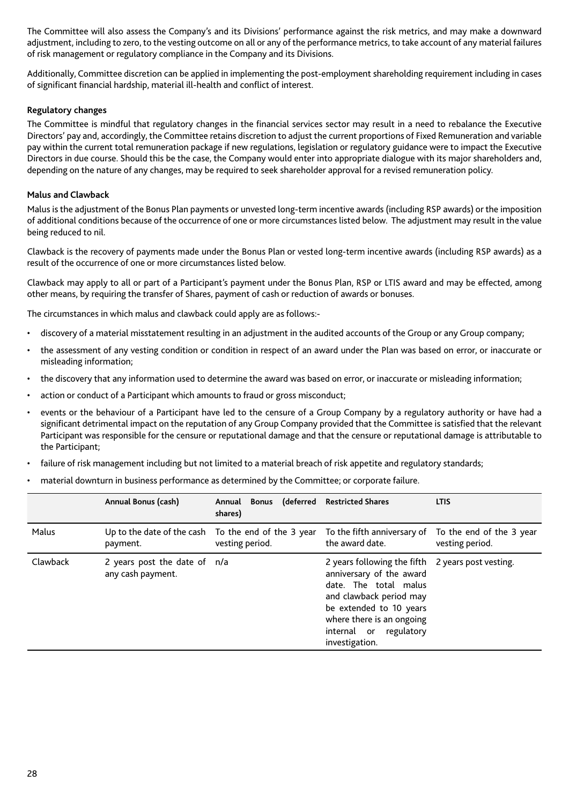The Committee will also assess the Company's and its Divisions' performance against the risk metrics, and may make a downward adjustment, including to zero, to the vesting outcome on all or any of the performance metrics, to take account of any material failures of risk management or regulatory compliance in the Company and its Divisions.

Additionally, Committee discretion can be applied in implementing the post-employment shareholding requirement including in cases of significant financial hardship, material ill-health and conflict of interest.

## **Regulatory changes**

The Committee is mindful that regulatory changes in the financial services sector may result in a need to rebalance the Executive Directors' pay and, accordingly, the Committee retains discretion to adjust the current proportions of Fixed Remuneration and variable pay within the current total remuneration package if new regulations, legislation or regulatory guidance were to impact the Executive Directors in due course. Should this be the case, the Company would enter into appropriate dialogue with its major shareholders and, depending on the nature of any changes, may be required to seek shareholder approval for a revised remuneration policy.

## **Malus and Clawback**

Malus is the adjustment of the Bonus Plan payments or unvested long-term incentive awards (including RSP awards) or the imposition of additional conditions because of the occurrence of one or more circumstances listed below. The adjustment may result in the value being reduced to nil.

Clawback is the recovery of payments made under the Bonus Plan or vested long-term incentive awards (including RSP awards) as a result of the occurrence of one or more circumstances listed below.

Clawback may apply to all or part of a Participant's payment under the Bonus Plan, RSP or LTIS award and may be effected, among other means, by requiring the transfer of Shares, payment of cash or reduction of awards or bonuses.

The circumstances in which malus and clawback could apply are as follows:-

- discovery of a material misstatement resulting in an adjustment in the audited accounts of the Group or any Group company;
- the assessment of any vesting condition or condition in respect of an award under the Plan was based on error, or inaccurate or misleading information;
- the discovery that any information used to determine the award was based on error, or inaccurate or misleading information;
- action or conduct of a Participant which amounts to fraud or gross misconduct;
- events or the behaviour of a Participant have led to the censure of a Group Company by a regulatory authority or have had a significant detrimental impact on the reputation of any Group Company provided that the Committee is satisfied that the relevant Participant was responsible for the censure or reputational damage and that the censure or reputational damage is attributable to the Participant;
- failure of risk management including but not limited to a material breach of risk appetite and regulatory standards;
- material downturn in business performance as determined by the Committee; or corporate failure.

|          | Annual Bonus (cash)                               | Annual Bonus (deferred Restricted Shares<br>shares)                    |                                                                                                                                                                                                                                       | <b>LTIS</b>                                 |
|----------|---------------------------------------------------|------------------------------------------------------------------------|---------------------------------------------------------------------------------------------------------------------------------------------------------------------------------------------------------------------------------------|---------------------------------------------|
| Malus    | payment.                                          | Up to the date of the cash To the end of the 3 year<br>vesting period. | To the fifth anniversary of<br>the award date.                                                                                                                                                                                        | To the end of the 3 year<br>vesting period. |
| Clawback | 2 years post the date of n/a<br>any cash payment. |                                                                        | 2 years following the fifth 2 years post vesting.<br>anniversary of the award<br>date. The total malus<br>and clawback period may<br>be extended to 10 years<br>where there is an ongoing<br>internal or regulatory<br>investigation. |                                             |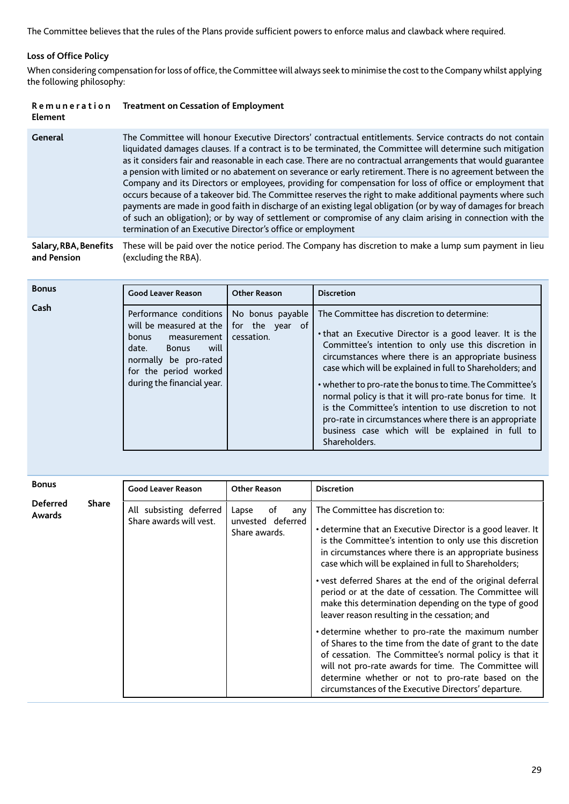The Committee believes that the rules of the Plans provide sufficient powers to enforce malus and clawback where required.

## **Loss of Office Policy**

When considering compensation for loss of office, the Committee will always seek to minimise the cost to the Company whilst applying the following philosophy:

| Remuneration | <b>Treatment on Cessation of Employment</b> |
|--------------|---------------------------------------------|
| Element      |                                             |

|  | General | The Committee will honour Executive Directors' contractual entitlements. Service contracts do not contain<br>liquidated damages clauses. If a contract is to be terminated, the Committee will determine such mitigation<br>as it considers fair and reasonable in each case. There are no contractual arrangements that would guarantee<br>a pension with limited or no abatement on severance or early retirement. There is no agreement between the<br>Company and its Directors or employees, providing for compensation for loss of office or employment that<br>occurs because of a takeover bid. The Committee reserves the right to make additional payments where such<br>payments are made in good faith in discharge of an existing legal obligation (or by way of damages for breach<br>of such an obligation); or by way of settlement or compromise of any claim arising in connection with the<br>termination of an Executive Director's office or employment |
|--|---------|------------------------------------------------------------------------------------------------------------------------------------------------------------------------------------------------------------------------------------------------------------------------------------------------------------------------------------------------------------------------------------------------------------------------------------------------------------------------------------------------------------------------------------------------------------------------------------------------------------------------------------------------------------------------------------------------------------------------------------------------------------------------------------------------------------------------------------------------------------------------------------------------------------------------------------------------------------------------------|
|--|---------|------------------------------------------------------------------------------------------------------------------------------------------------------------------------------------------------------------------------------------------------------------------------------------------------------------------------------------------------------------------------------------------------------------------------------------------------------------------------------------------------------------------------------------------------------------------------------------------------------------------------------------------------------------------------------------------------------------------------------------------------------------------------------------------------------------------------------------------------------------------------------------------------------------------------------------------------------------------------------|

**Salary, RBA, Benefits**  These will be paid over the notice period. The Company has discretion to make a lump sum payment in lieu **and Pension** (excluding the RBA).

| <b>Bonus</b> | <b>Good Leaver Reason</b>                                                                                                                                                                    | <b>Other Reason</b>                               | <b>Discretion</b>                                                                                                                                                                                                                                                                                                                                                                                                                                                                                                                                                                                     |
|--------------|----------------------------------------------------------------------------------------------------------------------------------------------------------------------------------------------|---------------------------------------------------|-------------------------------------------------------------------------------------------------------------------------------------------------------------------------------------------------------------------------------------------------------------------------------------------------------------------------------------------------------------------------------------------------------------------------------------------------------------------------------------------------------------------------------------------------------------------------------------------------------|
| Cash         | Performance conditions  <br>will be measured at the<br>measurement<br>bonus<br>will<br><b>Bonus</b><br>date.<br>normally be pro-rated<br>for the period worked<br>during the financial year. | No bonus payable<br>for the year of<br>cessation. | The Committee has discretion to determine:<br>. that an Executive Director is a good leaver. It is the<br>Committee's intention to only use this discretion in<br>circumstances where there is an appropriate business<br>case which will be explained in full to Shareholders; and<br>• whether to pro-rate the bonus to time. The Committee's<br>normal policy is that it will pro-rate bonus for time. It<br>is the Committee's intention to use discretion to not<br>pro-rate in circumstances where there is an appropriate<br>business case which will be explained in full to<br>Shareholders. |

| <b>Bonus</b>              |              | <b>Good Leaver Reason</b>                          | <b>Other Reason</b>                                      | <b>Discretion</b>                                                                                                                                                                                                                                                                                                                                                                                                                                                                                                                                                                                                                                                                                                                                                                                                                                                   |
|---------------------------|--------------|----------------------------------------------------|----------------------------------------------------------|---------------------------------------------------------------------------------------------------------------------------------------------------------------------------------------------------------------------------------------------------------------------------------------------------------------------------------------------------------------------------------------------------------------------------------------------------------------------------------------------------------------------------------------------------------------------------------------------------------------------------------------------------------------------------------------------------------------------------------------------------------------------------------------------------------------------------------------------------------------------|
| <b>Deferred</b><br>Awards | <b>Share</b> | All subsisting deferred<br>Share awards will vest. | Lapse<br>οf<br>any<br>unvested deferred<br>Share awards. | The Committee has discretion to:<br>• determine that an Executive Director is a good leaver. It<br>is the Committee's intention to only use this discretion<br>in circumstances where there is an appropriate business<br>case which will be explained in full to Shareholders;<br>• vest deferred Shares at the end of the original deferral<br>period or at the date of cessation. The Committee will<br>make this determination depending on the type of good<br>leaver reason resulting in the cessation; and<br>• determine whether to pro-rate the maximum number<br>of Shares to the time from the date of grant to the date<br>of cessation. The Committee's normal policy is that it<br>will not pro-rate awards for time. The Committee will<br>determine whether or not to pro-rate based on the<br>circumstances of the Executive Directors' departure. |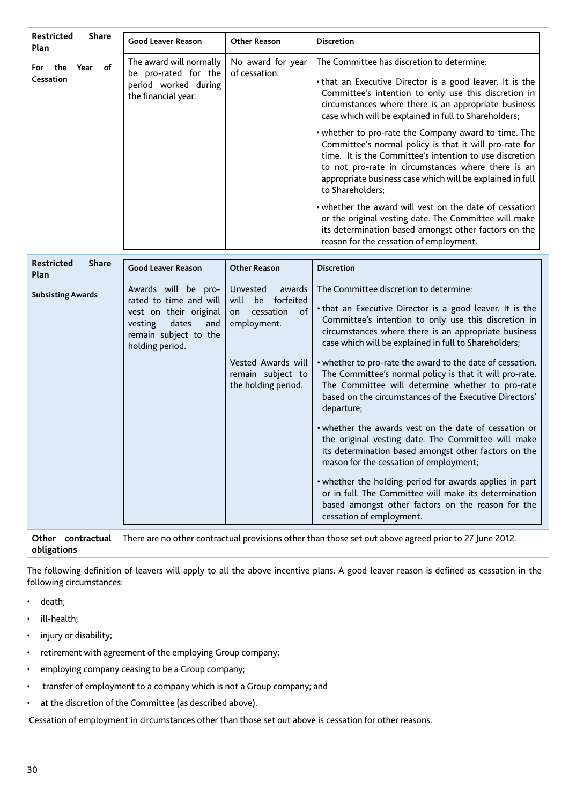| <b>Restricted</b><br><b>Share</b><br>Plan | <b>Good Leaver Reason</b>                                                                                                                      | <b>Other Reason</b>                                                                                                                                     | <b>Discretion</b>                                                                                                                                                                                                                                                                                                                                                                                                                                                                                                                                                                                                                                                                                                                                                                                                                                                                                                                                      |
|-------------------------------------------|------------------------------------------------------------------------------------------------------------------------------------------------|---------------------------------------------------------------------------------------------------------------------------------------------------------|--------------------------------------------------------------------------------------------------------------------------------------------------------------------------------------------------------------------------------------------------------------------------------------------------------------------------------------------------------------------------------------------------------------------------------------------------------------------------------------------------------------------------------------------------------------------------------------------------------------------------------------------------------------------------------------------------------------------------------------------------------------------------------------------------------------------------------------------------------------------------------------------------------------------------------------------------------|
| the<br>Year of<br>For<br>Cessation        | The award will normally<br>be pro-rated for the<br>period worked during<br>the financial year.                                                 | No award for year<br>of cessation.                                                                                                                      | The Committee has discretion to determine:<br>. that an Executive Director is a good leaver. It is the<br>Committee's intention to only use this discretion in<br>circumstances where there is an appropriate business<br>case which will be explained in full to Shareholders;<br>• whether to pro-rate the Company award to time. The<br>Committee's normal policy is that it will pro-rate for<br>time. It is the Committee's intention to use discretion<br>to not pro-rate in circumstances where there is an                                                                                                                                                                                                                                                                                                                                                                                                                                     |
|                                           |                                                                                                                                                |                                                                                                                                                         | appropriate business case which will be explained in full<br>to Shareholders;<br>. whether the award will vest on the date of cessation<br>or the original vesting date. The Committee will make<br>its determination based amongst other factors on the<br>reason for the cessation of employment.                                                                                                                                                                                                                                                                                                                                                                                                                                                                                                                                                                                                                                                    |
| <b>Restricted</b><br><b>Share</b><br>Plan | <b>Good Leaver Reason</b>                                                                                                                      | <b>Other Reason</b>                                                                                                                                     | <b>Discretion</b>                                                                                                                                                                                                                                                                                                                                                                                                                                                                                                                                                                                                                                                                                                                                                                                                                                                                                                                                      |
| <b>Subsisting Awards</b>                  | Awards will be pro-<br>rated to time and will<br>vest on their original<br>vesting<br>dates<br>and<br>remain subject to the<br>holding period. | Unvested<br>awards<br>forfeited<br>will<br>be<br>of<br>cessation<br>on<br>employment.<br>Vested Awards will<br>remain subject to<br>the holding period. | The Committee discretion to determine:<br>. that an Executive Director is a good leaver. It is the<br>Committee's intention to only use this discretion in<br>circumstances where there is an appropriate business<br>case which will be explained in full to Shareholders;<br>• whether to pro-rate the award to the date of cessation.<br>The Committee's normal policy is that it will pro-rate.<br>The Committee will determine whether to pro-rate<br>based on the circumstances of the Executive Directors'<br>departure;<br>• whether the awards vest on the date of cessation or<br>the original vesting date. The Committee will make<br>its determination based amongst other factors on the<br>reason for the cessation of employment;<br>. whether the holding period for awards applies in part<br>or in full. The Committee will make its determination<br>based amongst other factors on the reason for the<br>cessation of employment. |

**Other contractual obligations** There are no other contractual provisions other than those set out above agreed prior to 27 June 2012.

The following definition of leavers will apply to all the above incentive plans. A good leaver reason is defined as cessation in the following circumstances:

- death;
- ill-health;
- injury or disability;
- retirement with agreement of the employing Group company;
- employing company ceasing to be a Group company;
- transfer of employment to a company which is not a Group company; and
- at the discretion of the Committee (as described above).

Cessation of employment in circumstances other than those set out above is cessation for other reasons.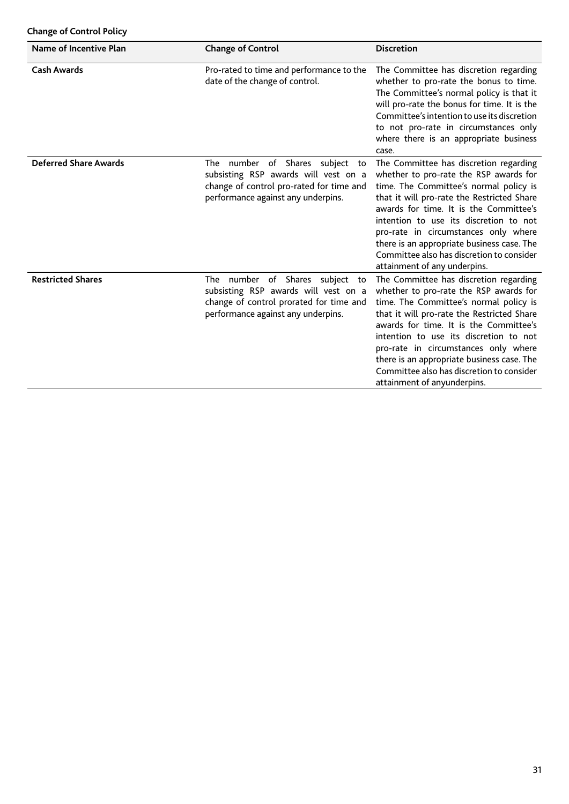## **Change of Control Policy**

| Name of Incentive Plan       | <b>Change of Control</b>                                                                                                                                  | <b>Discretion</b>                                                                                                                                                                                                                                                                                                                                                                                                               |
|------------------------------|-----------------------------------------------------------------------------------------------------------------------------------------------------------|---------------------------------------------------------------------------------------------------------------------------------------------------------------------------------------------------------------------------------------------------------------------------------------------------------------------------------------------------------------------------------------------------------------------------------|
| <b>Cash Awards</b>           | Pro-rated to time and performance to the<br>date of the change of control.                                                                                | The Committee has discretion regarding<br>whether to pro-rate the bonus to time.<br>The Committee's normal policy is that it<br>will pro-rate the bonus for time. It is the<br>Committee's intention to use its discretion<br>to not pro-rate in circumstances only<br>where there is an appropriate business<br>case.                                                                                                          |
| <b>Deferred Share Awards</b> | The number of Shares subject to<br>subsisting RSP awards will vest on a<br>change of control pro-rated for time and<br>performance against any underpins. | The Committee has discretion regarding<br>whether to pro-rate the RSP awards for<br>time. The Committee's normal policy is<br>that it will pro-rate the Restricted Share<br>awards for time. It is the Committee's<br>intention to use its discretion to not<br>pro-rate in circumstances only where<br>there is an appropriate business case. The<br>Committee also has discretion to consider<br>attainment of any underpins. |
| <b>Restricted Shares</b>     | The number of Shares subject to<br>subsisting RSP awards will vest on a<br>change of control prorated for time and<br>performance against any underpins.  | The Committee has discretion regarding<br>whether to pro-rate the RSP awards for<br>time. The Committee's normal policy is<br>that it will pro-rate the Restricted Share<br>awards for time. It is the Committee's<br>intention to use its discretion to not<br>pro-rate in circumstances only where<br>there is an appropriate business case. The<br>Committee also has discretion to consider<br>attainment of anyunderpins.  |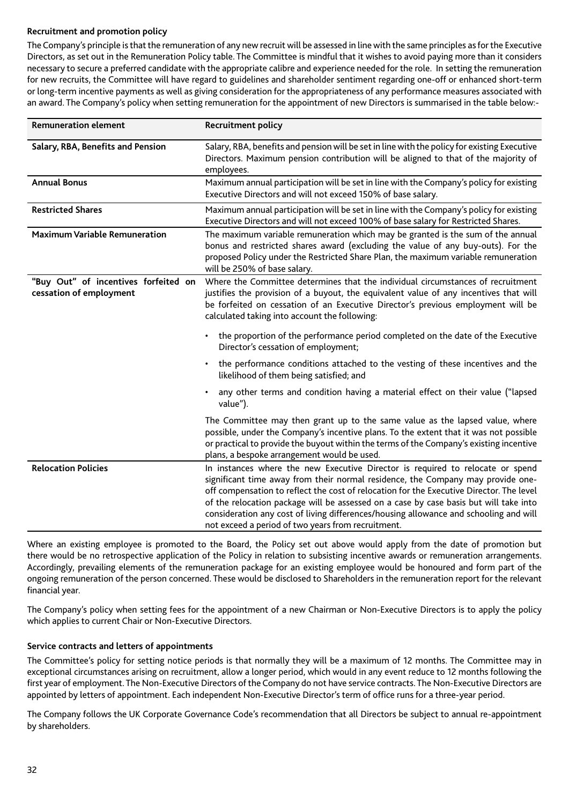## **Recruitment and promotion policy**

The Company's principle is that the remuneration of any new recruit will be assessed in line with the same principles as for the Executive Directors, as set out in the Remuneration Policy table. The Committee is mindful that it wishes to avoid paying more than it considers necessary to secure a preferred candidate with the appropriate calibre and experience needed for the role. In setting the remuneration for new recruits, the Committee will have regard to guidelines and shareholder sentiment regarding one-off or enhanced short-term or long-term incentive payments as well as giving consideration for the appropriateness of any performance measures associated with an award. The Company's policy when setting remuneration for the appointment of new Directors is summarised in the table below:-

| <b>Remuneration element</b>                                     | <b>Recruitment policy</b>                                                                                                                                                                                                                                                                                                                                                                                                                                                                             |
|-----------------------------------------------------------------|-------------------------------------------------------------------------------------------------------------------------------------------------------------------------------------------------------------------------------------------------------------------------------------------------------------------------------------------------------------------------------------------------------------------------------------------------------------------------------------------------------|
| Salary, RBA, Benefits and Pension                               | Salary, RBA, benefits and pension will be set in line with the policy for existing Executive<br>Directors. Maximum pension contribution will be aligned to that of the majority of<br>employees.                                                                                                                                                                                                                                                                                                      |
| <b>Annual Bonus</b>                                             | Maximum annual participation will be set in line with the Company's policy for existing<br>Executive Directors and will not exceed 150% of base salary.                                                                                                                                                                                                                                                                                                                                               |
| <b>Restricted Shares</b>                                        | Maximum annual participation will be set in line with the Company's policy for existing<br>Executive Directors and will not exceed 100% of base salary for Restricted Shares.                                                                                                                                                                                                                                                                                                                         |
| <b>Maximum Variable Remuneration</b>                            | The maximum variable remuneration which may be granted is the sum of the annual<br>bonus and restricted shares award (excluding the value of any buy-outs). For the<br>proposed Policy under the Restricted Share Plan, the maximum variable remuneration<br>will be 250% of base salary.                                                                                                                                                                                                             |
| "Buy Out" of incentives forfeited on<br>cessation of employment | Where the Committee determines that the individual circumstances of recruitment<br>justifies the provision of a buyout, the equivalent value of any incentives that will<br>be forfeited on cessation of an Executive Director's previous employment will be<br>calculated taking into account the following:                                                                                                                                                                                         |
|                                                                 | the proportion of the performance period completed on the date of the Executive<br>Director's cessation of employment;                                                                                                                                                                                                                                                                                                                                                                                |
|                                                                 | the performance conditions attached to the vesting of these incentives and the<br>likelihood of them being satisfied; and                                                                                                                                                                                                                                                                                                                                                                             |
|                                                                 | any other terms and condition having a material effect on their value ("lapsed<br>value").                                                                                                                                                                                                                                                                                                                                                                                                            |
|                                                                 | The Committee may then grant up to the same value as the lapsed value, where<br>possible, under the Company's incentive plans. To the extent that it was not possible<br>or practical to provide the buyout within the terms of the Company's existing incentive<br>plans, a bespoke arrangement would be used.                                                                                                                                                                                       |
| <b>Relocation Policies</b>                                      | In instances where the new Executive Director is required to relocate or spend<br>significant time away from their normal residence, the Company may provide one-<br>off compensation to reflect the cost of relocation for the Executive Director. The level<br>of the relocation package will be assessed on a case by case basis but will take into<br>consideration any cost of living differences/housing allowance and schooling and will<br>not exceed a period of two years from recruitment. |

Where an existing employee is promoted to the Board, the Policy set out above would apply from the date of promotion but there would be no retrospective application of the Policy in relation to subsisting incentive awards or remuneration arrangements. Accordingly, prevailing elements of the remuneration package for an existing employee would be honoured and form part of the ongoing remuneration of the person concerned. These would be disclosed to Shareholders in the remuneration report for the relevant financial year.

The Company's policy when setting fees for the appointment of a new Chairman or Non-Executive Directors is to apply the policy which applies to current Chair or Non-Executive Directors.

## **Service contracts and letters of appointments**

The Committee's policy for setting notice periods is that normally they will be a maximum of 12 months. The Committee may in exceptional circumstances arising on recruitment, allow a longer period, which would in any event reduce to 12 months following the first year of employment. The Non-Executive Directors of the Company do not have service contracts. The Non-Executive Directors are appointed by letters of appointment. Each independent Non-Executive Director's term of office runs for a three-year period.

The Company follows the UK Corporate Governance Code's recommendation that all Directors be subject to annual re-appointment by shareholders.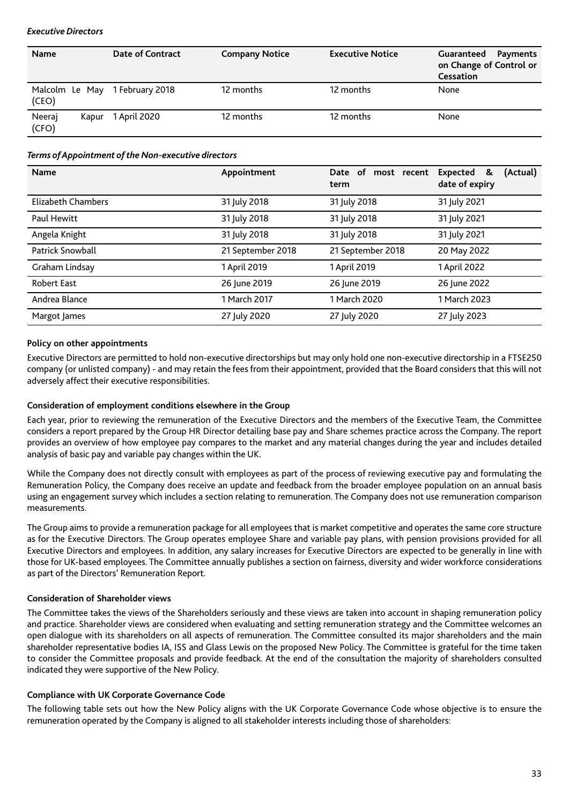## *Executive Directors*

| <b>Name</b>              | <b>Date of Contract</b> | <b>Company Notice</b> | <b>Executive Notice</b> | Guaranteed<br>Payments<br>on Change of Control or<br><b>Cessation</b> |
|--------------------------|-------------------------|-----------------------|-------------------------|-----------------------------------------------------------------------|
| Malcolm Le May<br>(CEO)  | 1 February 2018         | 12 months             | 12 months               | None                                                                  |
| Neeraj<br>Kapur<br>(CFO) | 1 April 2020            | 12 months             | 12 months               | None                                                                  |

## *Terms of Appointment of the Non-executive directors*

| <b>Name</b>             | Appointment       | Date of<br>most recent<br>term | Expected<br>(Actual)<br>&<br>date of expiry |
|-------------------------|-------------------|--------------------------------|---------------------------------------------|
| Elizabeth Chambers      | 31 July 2018      | 31 July 2018                   | 31 July 2021                                |
| Paul Hewitt             | 31 July 2018      | 31 July 2018                   | 31 July 2021                                |
| Angela Knight           | 31 July 2018      | 31 July 2018                   | 31 July 2021                                |
| <b>Patrick Snowball</b> | 21 September 2018 | 21 September 2018              | 20 May 2022                                 |
| Graham Lindsay          | 1 April 2019      | 1 April 2019                   | 1 April 2022                                |
| <b>Robert East</b>      | 26 June 2019      | 26 June 2019                   | 26 June 2022                                |
| Andrea Blance           | 1 March 2017      | 1 March 2020                   | 1 March 2023                                |
| Margot James            | 27 July 2020      | 27 July 2020                   | 27 July 2023                                |

## **Policy on other appointments**

Executive Directors are permitted to hold non-executive directorships but may only hold one non-executive directorship in a FTSE250 company (or unlisted company) - and may retain the fees from their appointment, provided that the Board considers that this will not adversely affect their executive responsibilities.

## **Consideration of employment conditions elsewhere in the Group**

Each year, prior to reviewing the remuneration of the Executive Directors and the members of the Executive Team, the Committee considers a report prepared by the Group HR Director detailing base pay and Share schemes practice across the Company. The report provides an overview of how employee pay compares to the market and any material changes during the year and includes detailed analysis of basic pay and variable pay changes within the UK.

While the Company does not directly consult with employees as part of the process of reviewing executive pay and formulating the Remuneration Policy, the Company does receive an update and feedback from the broader employee population on an annual basis using an engagement survey which includes a section relating to remuneration. The Company does not use remuneration comparison measurements.

The Group aims to provide a remuneration package for all employees that is market competitive and operates the same core structure as for the Executive Directors. The Group operates employee Share and variable pay plans, with pension provisions provided for all Executive Directors and employees. In addition, any salary increases for Executive Directors are expected to be generally in line with those for UK-based employees. The Committee annually publishes a section on fairness, diversity and wider workforce considerations as part of the Directors' Remuneration Report.

## **Consideration of Shareholder views**

The Committee takes the views of the Shareholders seriously and these views are taken into account in shaping remuneration policy and practice. Shareholder views are considered when evaluating and setting remuneration strategy and the Committee welcomes an open dialogue with its shareholders on all aspects of remuneration. The Committee consulted its major shareholders and the main shareholder representative bodies IA, ISS and Glass Lewis on the proposed New Policy. The Committee is grateful for the time taken to consider the Committee proposals and provide feedback. At the end of the consultation the majority of shareholders consulted indicated they were supportive of the New Policy.

## **Compliance with UK Corporate Governance Code**

The following table sets out how the New Policy aligns with the UK Corporate Governance Code whose objective is to ensure the remuneration operated by the Company is aligned to all stakeholder interests including those of shareholders: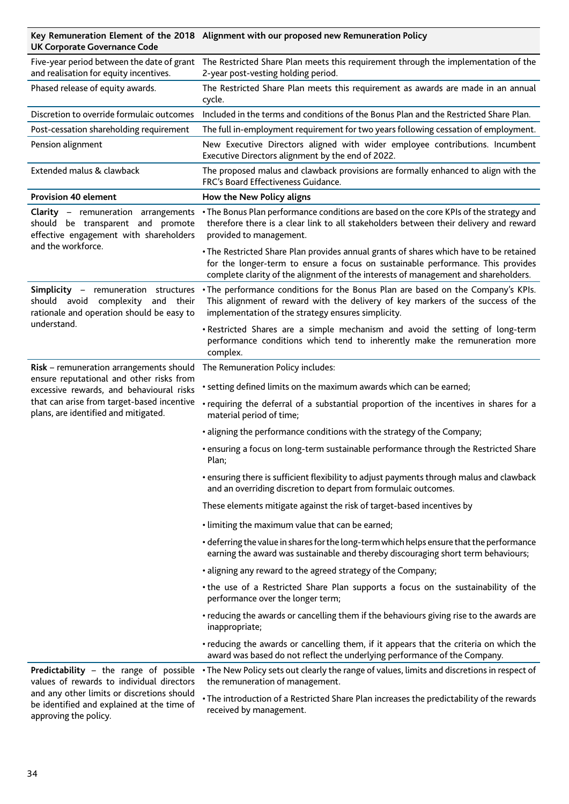**Key Remuneration Element of the 2018 Alignment with our proposed new Remuneration Policy UK Corporate Governance Code**

| and realisation for equity incentives.                                                                                                                                                                                | Five-year period between the date of grant The Restricted Share Plan meets this requirement through the implementation of the<br>2-year post-vesting holding period.                                                                                            |  |
|-----------------------------------------------------------------------------------------------------------------------------------------------------------------------------------------------------------------------|-----------------------------------------------------------------------------------------------------------------------------------------------------------------------------------------------------------------------------------------------------------------|--|
| Phased release of equity awards.                                                                                                                                                                                      | The Restricted Share Plan meets this requirement as awards are made in an annual<br>cycle.                                                                                                                                                                      |  |
| Discretion to override formulaic outcomes                                                                                                                                                                             | Included in the terms and conditions of the Bonus Plan and the Restricted Share Plan.                                                                                                                                                                           |  |
| Post-cessation shareholding requirement                                                                                                                                                                               | The full in-employment requirement for two years following cessation of employment.                                                                                                                                                                             |  |
| Pension alignment                                                                                                                                                                                                     | New Executive Directors aligned with wider employee contributions. Incumbent<br>Executive Directors alignment by the end of 2022.                                                                                                                               |  |
| Extended malus & clawback                                                                                                                                                                                             | The proposed malus and clawback provisions are formally enhanced to align with the<br>FRC's Board Effectiveness Guidance.                                                                                                                                       |  |
| <b>Provision 40 element</b>                                                                                                                                                                                           | How the New Policy aligns                                                                                                                                                                                                                                       |  |
| Clarity - remuneration arrangements<br>should be transparent and promote<br>effective engagement with shareholders<br>and the workforce.                                                                              | • The Bonus Plan performance conditions are based on the core KPIs of the strategy and<br>therefore there is a clear link to all stakeholders between their delivery and reward<br>provided to management.                                                      |  |
|                                                                                                                                                                                                                       | . The Restricted Share Plan provides annual grants of shares which have to be retained<br>for the longer-term to ensure a focus on sustainable performance. This provides<br>complete clarity of the alignment of the interests of management and shareholders. |  |
| Simplicity - remuneration structures<br>should avoid complexity and their<br>rationale and operation should be easy to<br>understand.                                                                                 | . The performance conditions for the Bonus Plan are based on the Company's KPIs.<br>This alignment of reward with the delivery of key markers of the success of the<br>implementation of the strategy ensures simplicity.                                       |  |
|                                                                                                                                                                                                                       | . Restricted Shares are a simple mechanism and avoid the setting of long-term<br>performance conditions which tend to inherently make the remuneration more<br>complex.                                                                                         |  |
| Risk - remuneration arrangements should<br>ensure reputational and other risks from<br>excessive rewards, and behavioural risks<br>that can arise from target-based incentive<br>plans, are identified and mitigated. | The Remuneration Policy includes:                                                                                                                                                                                                                               |  |
|                                                                                                                                                                                                                       | • setting defined limits on the maximum awards which can be earned;                                                                                                                                                                                             |  |
|                                                                                                                                                                                                                       | · requiring the deferral of a substantial proportion of the incentives in shares for a<br>material period of time;                                                                                                                                              |  |
|                                                                                                                                                                                                                       | • aligning the performance conditions with the strategy of the Company;                                                                                                                                                                                         |  |
|                                                                                                                                                                                                                       | • ensuring a focus on long-term sustainable performance through the Restricted Share<br>Plan;                                                                                                                                                                   |  |
|                                                                                                                                                                                                                       | • ensuring there is sufficient flexibility to adjust payments through malus and clawback<br>and an overriding discretion to depart from formulaic outcomes.                                                                                                     |  |
|                                                                                                                                                                                                                       | These elements mitigate against the risk of target-based incentives by                                                                                                                                                                                          |  |
|                                                                                                                                                                                                                       | . limiting the maximum value that can be earned;                                                                                                                                                                                                                |  |
|                                                                                                                                                                                                                       | • deferring the value in shares for the long-term which helps ensure that the performance<br>earning the award was sustainable and thereby discouraging short term behaviours;                                                                                  |  |
|                                                                                                                                                                                                                       | • aligning any reward to the agreed strategy of the Company;                                                                                                                                                                                                    |  |
|                                                                                                                                                                                                                       | . the use of a Restricted Share Plan supports a focus on the sustainability of the<br>performance over the longer term;                                                                                                                                         |  |
|                                                                                                                                                                                                                       | • reducing the awards or cancelling them if the behaviours giving rise to the awards are<br>inappropriate;                                                                                                                                                      |  |
|                                                                                                                                                                                                                       | • reducing the awards or cancelling them, if it appears that the criteria on which the<br>award was based do not reflect the underlying performance of the Company.                                                                                             |  |
| Predictability - the range of possible<br>values of rewards to individual directors<br>and any other limits or discretions should<br>be identified and explained at the time of<br>approving the policy.              | • The New Policy sets out clearly the range of values, limits and discretions in respect of<br>the remuneration of management.                                                                                                                                  |  |
|                                                                                                                                                                                                                       | • The introduction of a Restricted Share Plan increases the predictability of the rewards<br>received by management.                                                                                                                                            |  |